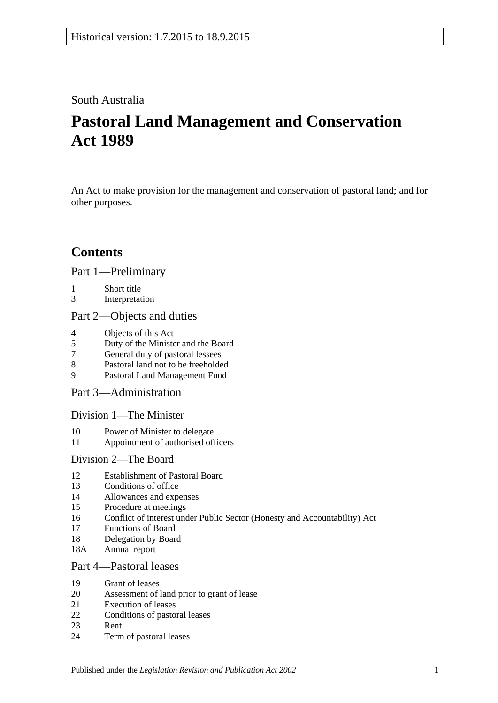## South Australia

# **Pastoral Land Management and Conservation Act 1989**

An Act to make provision for the management and conservation of pastoral land; and for other purposes.

# **Contents**

[Part 1—Preliminary](#page-2-0)

- 1 [Short title](#page-2-1)
- 3 [Interpretation](#page-2-2)

## [Part 2—Objects and duties](#page-4-0)

- 4 [Objects of this Act](#page-4-1)<br>5 Duty of the Minister
- 5 [Duty of the Minister and the Board](#page-4-2)
- 7 [General duty of pastoral lessees](#page-5-0)
- 8 [Pastoral land not to be freeholded](#page-5-1)
- 9 [Pastoral Land Management Fund](#page-5-2)

[Part 3—Administration](#page-6-0)

[Division 1—The Minister](#page-6-1)

- 10 [Power of Minister to delegate](#page-6-2)
- 11 [Appointment of authorised officers](#page-6-3)

## [Division 2—The Board](#page-6-4)

- 12 [Establishment of Pastoral Board](#page-6-5)
- 13 [Conditions of office](#page-7-0)
- 14 [Allowances and expenses](#page-8-0)
- 15 [Procedure at meetings](#page-8-1)
- 16 [Conflict of interest under Public Sector \(Honesty and Accountability\) Act](#page-8-2)
- 17 [Functions of Board](#page-8-3)
- 18 [Delegation by Board](#page-9-0)
- 18A [Annual report](#page-9-1)

## [Part 4—Pastoral leases](#page-9-2)

- 19 [Grant of leases](#page-9-3)
- 20 [Assessment of land prior to grant of lease](#page-10-0)
- 21 [Execution of leases](#page-10-1)
- 22 [Conditions of pastoral leases](#page-10-2)
- 23 [Rent](#page-12-0)
- 24 [Term of pastoral leases](#page-13-0)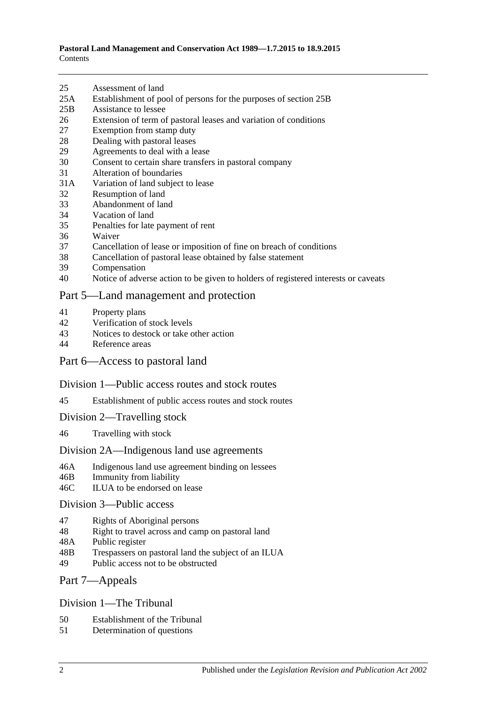- 25 [Assessment of land](#page-14-0)
- 25A [Establishment of pool of persons for the purposes of section](#page-14-1) 25B
- 25B [Assistance to lessee](#page-15-0)
- 26 [Extension of term of pastoral leases and variation of conditions](#page-16-0)
- 27 [Exemption from stamp duty](#page-16-1)
- 28 [Dealing with pastoral leases](#page-17-0)
- 29 [Agreements to deal with a lease](#page-17-1)
- 30 [Consent to certain share transfers in pastoral company](#page-17-2)
- 31 [Alteration of boundaries](#page-18-0)
- 31A [Variation of land subject to lease](#page-18-1)
- 32 [Resumption of land](#page-18-2)
- 33 [Abandonment of land](#page-19-0)
- 34 [Vacation of land](#page-19-1)
- 35 [Penalties for late payment of rent](#page-19-2)
- 36 [Waiver](#page-19-3)
- 37 [Cancellation of lease or imposition of fine on breach of conditions](#page-20-0)
- 38 [Cancellation of pastoral lease obtained by false statement](#page-20-1)
- 39 [Compensation](#page-20-2)
- 40 [Notice of adverse action to be given to holders of registered interests or caveats](#page-21-0)

#### [Part 5—Land management and protection](#page-21-1)

- 41 [Property plans](#page-21-2)
- 42 [Verification of stock levels](#page-22-0)
- 43 [Notices to destock or take other action](#page-23-0)<br>44 Reference areas
- [Reference areas](#page-23-1)

#### [Part 6—Access to pastoral land](#page-24-0)

#### [Division 1—Public access routes and stock routes](#page-24-1)

- 45 [Establishment of public access routes and stock routes](#page-24-2)
- [Division 2—Travelling stock](#page-25-0)
- 46 [Travelling with stock](#page-25-1)

#### [Division 2A—Indigenous land use agreements](#page-26-0)

- 46A [Indigenous land use agreement binding on lessees](#page-26-1)
- 46B [Immunity from liability](#page-26-2)
- 46C [ILUA to be endorsed on lease](#page-27-0)

#### [Division 3—Public access](#page-27-1)

- 47 [Rights of Aboriginal persons](#page-27-2)
- 48 [Right to travel across and camp on pastoral land](#page-28-0)
- 48A [Public register](#page-29-0)
- 48B [Trespassers on pastoral land the subject of an ILUA](#page-30-0)
- 49 [Public access not to be obstructed](#page-30-1)

#### [Part 7—Appeals](#page-31-0)

#### [Division 1—The Tribunal](#page-31-1)

- 50 [Establishment of the Tribunal](#page-31-2)
- 51 [Determination](#page-31-3) of questions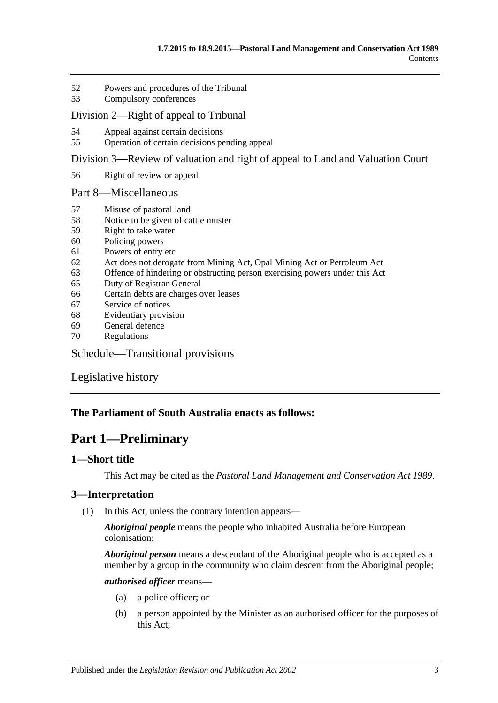- 52 [Powers and procedures of the Tribunal](#page-31-4)
- 53 [Compulsory conferences](#page-33-0)

#### [Division 2—Right of appeal to Tribunal](#page-33-1)

- 54 [Appeal against certain decisions](#page-33-2)
- 55 [Operation of certain decisions pending appeal](#page-33-3)

[Division 3—Review of valuation and right of appeal to Land and Valuation Court](#page-34-0)

56 [Right of review or appeal](#page-34-1)

#### [Part 8—Miscellaneous](#page-34-2)

- 57 [Misuse of pastoral land](#page-34-3)
- 58 [Notice to be given of cattle muster](#page-35-0)
- 59 [Right to take water](#page-35-1)
- 60 [Policing powers](#page-36-0)
- 61 [Powers of entry etc](#page-36-1)
- 62 [Act does not derogate from Mining Act, Opal Mining Act or Petroleum Act](#page-37-0)
- 63 [Offence of hindering or obstructing person exercising powers under this Act](#page-37-1)
- 65 [Duty of Registrar-General](#page-37-2)
- 66 [Certain debts are charges over leases](#page-37-3)
- 67 [Service of notices](#page-37-4)
- 68 [Evidentiary provision](#page-38-0)
- 69 [General defence](#page-38-1)
- 70 [Regulations](#page-38-2)

## [Schedule—Transitional provisions](#page-39-0)

[Legislative history](#page-41-0)

## <span id="page-2-0"></span>**The Parliament of South Australia enacts as follows:**

## **Part 1—Preliminary**

## <span id="page-2-1"></span>**1—Short title**

This Act may be cited as the *Pastoral Land Management and Conservation Act 1989*.

## <span id="page-2-3"></span><span id="page-2-2"></span>**3—Interpretation**

(1) In this Act, unless the contrary intention appears—

*Aboriginal people* means the people who inhabited Australia before European colonisation;

*Aboriginal person* means a descendant of the Aboriginal people who is accepted as a member by a group in the community who claim descent from the Aboriginal people;

#### *authorised officer* means—

- (a) a police officer; or
- (b) a person appointed by the Minister as an authorised officer for the purposes of this Act;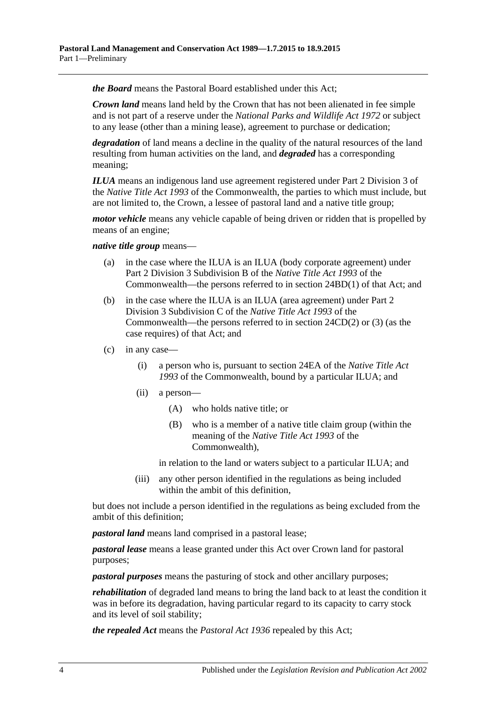*the Board* means the Pastoral Board established under this Act;

*Crown land* means land held by the Crown that has not been alienated in fee simple and is not part of a reserve under the *[National Parks and Wildlife Act](http://www.legislation.sa.gov.au/index.aspx?action=legref&type=act&legtitle=National%20Parks%20and%20Wildlife%20Act%201972) 1972* or subject to any lease (other than a mining lease), agreement to purchase or dedication;

*degradation* of land means a decline in the quality of the natural resources of the land resulting from human activities on the land, and *degraded* has a corresponding meaning;

*ILUA* means an indigenous land use agreement registered under Part 2 Division 3 of the *Native Title Act 1993* of the Commonwealth, the parties to which must include, but are not limited to, the Crown, a lessee of pastoral land and a native title group;

*motor vehicle* means any vehicle capable of being driven or ridden that is propelled by means of an engine;

#### *native title group* means—

- (a) in the case where the ILUA is an ILUA (body corporate agreement) under Part 2 Division 3 Subdivision B of the *Native Title Act 1993* of the Commonwealth—the persons referred to in section 24BD(1) of that Act; and
- (b) in the case where the ILUA is an ILUA (area agreement) under Part 2 Division 3 Subdivision C of the *Native Title Act 1993* of the Commonwealth—the persons referred to in section 24CD(2) or (3) (as the case requires) of that Act; and
- <span id="page-3-0"></span>(c) in any case—
	- (i) a person who is, pursuant to section 24EA of the *Native Title Act 1993* of the Commonwealth, bound by a particular ILUA; and
	- (ii) a person—
		- (A) who holds native title; or
		- (B) who is a member of a native title claim group (within the meaning of the *Native Title Act 1993* of the Commonwealth),

in relation to the land or waters subject to a particular ILUA; and

(iii) any other person identified in the regulations as being included within the ambit of this definition,

but does not include a person identified in the regulations as being excluded from the ambit of this definition;

*pastoral land* means land comprised in a pastoral lease;

*pastoral lease* means a lease granted under this Act over Crown land for pastoral purposes;

*pastoral purposes* means the pasturing of stock and other ancillary purposes;

*rehabilitation* of degraded land means to bring the land back to at least the condition it was in before its degradation, having particular regard to its capacity to carry stock and its level of soil stability;

*the repealed Act* means the *[Pastoral Act](http://www.legislation.sa.gov.au/index.aspx?action=legref&type=act&legtitle=Pastoral%20Act%201936) 1936* repealed by this Act;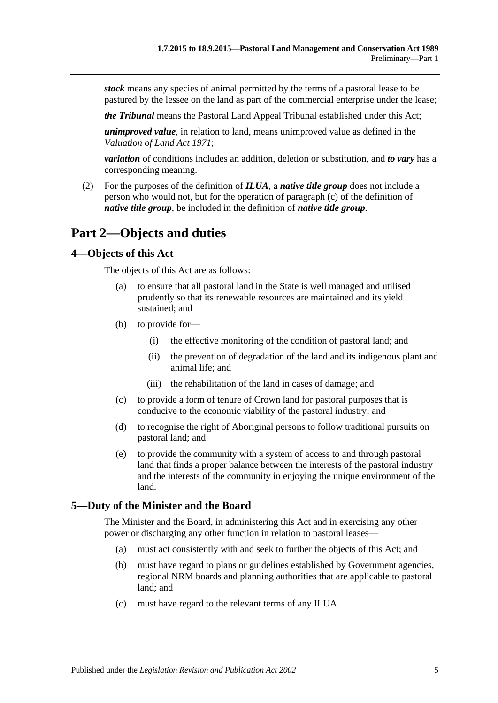*stock* means any species of animal permitted by the terms of a pastoral lease to be pastured by the lessee on the land as part of the commercial enterprise under the lease;

*the Tribunal* means the Pastoral Land Appeal Tribunal established under this Act;

*unimproved value*, in relation to land, means unimproved value as defined in the *[Valuation of Land Act](http://www.legislation.sa.gov.au/index.aspx?action=legref&type=act&legtitle=Valuation%20of%20Land%20Act%201971) 1971*;

*variation* of conditions includes an addition, deletion or substitution, and *to vary* has a corresponding meaning.

(2) For the purposes of the definition of *ILUA*, a *native title group* does not include a person who would not, but for the operation of [paragraph](#page-3-0) (c) of the definition of *native title group*, be included in the definition of *native title group*.

## <span id="page-4-0"></span>**Part 2—Objects and duties**

#### <span id="page-4-1"></span>**4—Objects of this Act**

The objects of this Act are as follows:

- (a) to ensure that all pastoral land in the State is well managed and utilised prudently so that its renewable resources are maintained and its yield sustained; and
- (b) to provide for—
	- (i) the effective monitoring of the condition of pastoral land; and
	- (ii) the prevention of degradation of the land and its indigenous plant and animal life; and
	- (iii) the rehabilitation of the land in cases of damage; and
- (c) to provide a form of tenure of Crown land for pastoral purposes that is conducive to the economic viability of the pastoral industry; and
- (d) to recognise the right of Aboriginal persons to follow traditional pursuits on pastoral land; and
- (e) to provide the community with a system of access to and through pastoral land that finds a proper balance between the interests of the pastoral industry and the interests of the community in enjoying the unique environment of the land.

## <span id="page-4-2"></span>**5—Duty of the Minister and the Board**

The Minister and the Board, in administering this Act and in exercising any other power or discharging any other function in relation to pastoral leases—

- (a) must act consistently with and seek to further the objects of this Act; and
- (b) must have regard to plans or guidelines established by Government agencies, regional NRM boards and planning authorities that are applicable to pastoral land; and
- (c) must have regard to the relevant terms of any ILUA.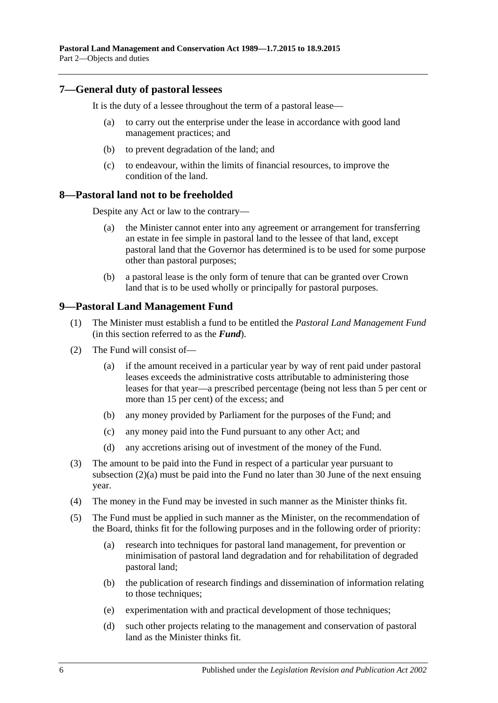## <span id="page-5-0"></span>**7—General duty of pastoral lessees**

It is the duty of a lessee throughout the term of a pastoral lease—

- (a) to carry out the enterprise under the lease in accordance with good land management practices; and
- (b) to prevent degradation of the land; and
- (c) to endeavour, within the limits of financial resources, to improve the condition of the land.

#### <span id="page-5-1"></span>**8—Pastoral land not to be freeholded**

Despite any Act or law to the contrary—

- (a) the Minister cannot enter into any agreement or arrangement for transferring an estate in fee simple in pastoral land to the lessee of that land, except pastoral land that the Governor has determined is to be used for some purpose other than pastoral purposes;
- (b) a pastoral lease is the only form of tenure that can be granted over Crown land that is to be used wholly or principally for pastoral purposes.

## <span id="page-5-2"></span>**9—Pastoral Land Management Fund**

- (1) The Minister must establish a fund to be entitled the *Pastoral Land Management Fund* (in this section referred to as the *Fund*).
- <span id="page-5-3"></span>(2) The Fund will consist of—
	- (a) if the amount received in a particular year by way of rent paid under pastoral leases exceeds the administrative costs attributable to administering those leases for that year—a prescribed percentage (being not less than 5 per cent or more than 15 per cent) of the excess; and
	- (b) any money provided by Parliament for the purposes of the Fund; and
	- (c) any money paid into the Fund pursuant to any other Act; and
	- (d) any accretions arising out of investment of the money of the Fund.
- (3) The amount to be paid into the Fund in respect of a particular year pursuant to [subsection](#page-5-3) (2)(a) must be paid into the Fund no later than 30 June of the next ensuing year.
- (4) The money in the Fund may be invested in such manner as the Minister thinks fit.
- (5) The Fund must be applied in such manner as the Minister, on the recommendation of the Board, thinks fit for the following purposes and in the following order of priority:
	- (a) research into techniques for pastoral land management, for prevention or minimisation of pastoral land degradation and for rehabilitation of degraded pastoral land;
	- (b) the publication of research findings and dissemination of information relating to those techniques;
	- (e) experimentation with and practical development of those techniques;
	- (d) such other projects relating to the management and conservation of pastoral land as the Minister thinks fit.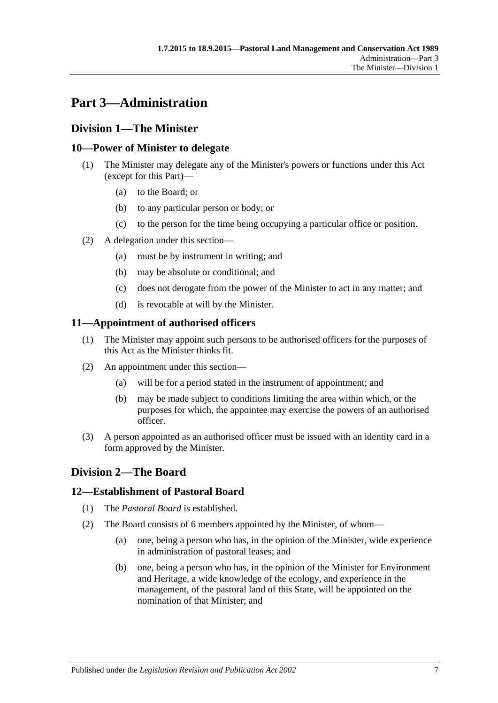# <span id="page-6-0"></span>**Part 3—Administration**

## <span id="page-6-1"></span>**Division 1—The Minister**

## <span id="page-6-2"></span>**10—Power of Minister to delegate**

- (1) The Minister may delegate any of the Minister's powers or functions under this Act (except for this Part)—
	- (a) to the Board; or
	- (b) to any particular person or body; or
	- (c) to the person for the time being occupying a particular office or position.
- (2) A delegation under this section—
	- (a) must be by instrument in writing; and
	- (b) may be absolute or conditional; and
	- (c) does not derogate from the power of the Minister to act in any matter; and
	- (d) is revocable at will by the Minister.

## <span id="page-6-3"></span>**11—Appointment of authorised officers**

- (1) The Minister may appoint such persons to be authorised officers for the purposes of this Act as the Minister thinks fit.
- (2) An appointment under this section—
	- (a) will be for a period stated in the instrument of appointment; and
	- (b) may be made subject to conditions limiting the area within which, or the purposes for which, the appointee may exercise the powers of an authorised officer.
- (3) A person appointed as an authorised officer must be issued with an identity card in a form approved by the Minister.

## <span id="page-6-4"></span>**Division 2—The Board**

## <span id="page-6-5"></span>**12—Establishment of Pastoral Board**

- (1) The *Pastoral Board* is established.
- (2) The Board consists of 6 members appointed by the Minister, of whom—
	- (a) one, being a person who has, in the opinion of the Minister, wide experience in administration of pastoral leases; and
	- (b) one, being a person who has, in the opinion of the Minister for Environment and Heritage, a wide knowledge of the ecology, and experience in the management, of the pastoral land of this State, will be appointed on the nomination of that Minister; and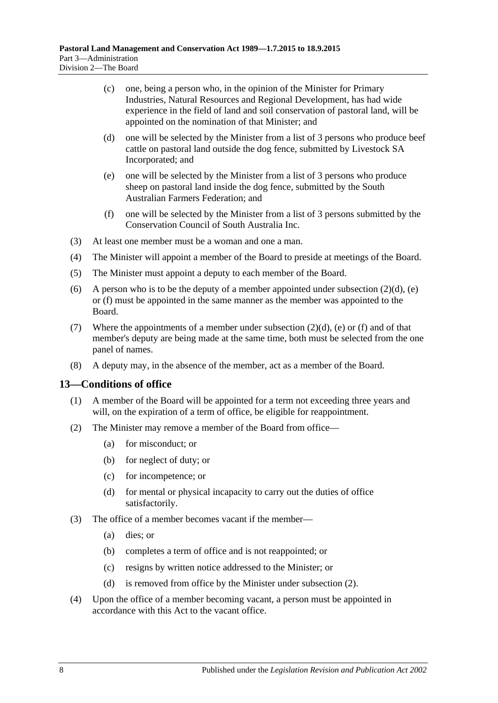- (c) one, being a person who, in the opinion of the Minister for Primary Industries, Natural Resources and Regional Development, has had wide experience in the field of land and soil conservation of pastoral land, will be appointed on the nomination of that Minister; and
- <span id="page-7-1"></span>(d) one will be selected by the Minister from a list of 3 persons who produce beef cattle on pastoral land outside the dog fence, submitted by Livestock SA Incorporated; and
- <span id="page-7-2"></span>(e) one will be selected by the Minister from a list of 3 persons who produce sheep on pastoral land inside the dog fence, submitted by the South Australian Farmers Federation; and
- (f) one will be selected by the Minister from a list of 3 persons submitted by the Conservation Council of South Australia Inc.
- <span id="page-7-3"></span>(3) At least one member must be a woman and one a man.
- (4) The Minister will appoint a member of the Board to preside at meetings of the Board.
- (5) The Minister must appoint a deputy to each member of the Board.
- (6) A person who is to be the deputy of a member appointed under [subsection](#page-7-1)  $(2)(d)$ , [\(e\)](#page-7-2) or [\(f\)](#page-7-3) must be appointed in the same manner as the member was appointed to the Board.
- (7) Where the appointments of a member under [subsection](#page-7-1)  $(2)(d)$ , [\(e\)](#page-7-2) or [\(f\)](#page-7-3) and of that member's deputy are being made at the same time, both must be selected from the one panel of names.
- (8) A deputy may, in the absence of the member, act as a member of the Board.

#### <span id="page-7-0"></span>**13—Conditions of office**

- (1) A member of the Board will be appointed for a term not exceeding three years and will, on the expiration of a term of office, be eligible for reappointment.
- <span id="page-7-4"></span>(2) The Minister may remove a member of the Board from office—
	- (a) for misconduct; or
	- (b) for neglect of duty; or
	- (c) for incompetence; or
	- (d) for mental or physical incapacity to carry out the duties of office satisfactorily.
- (3) The office of a member becomes vacant if the member—
	- (a) dies; or
	- (b) completes a term of office and is not reappointed; or
	- (c) resigns by written notice addressed to the Minister; or
	- (d) is removed from office by the Minister under [subsection](#page-7-4) (2).
- (4) Upon the office of a member becoming vacant, a person must be appointed in accordance with this Act to the vacant office.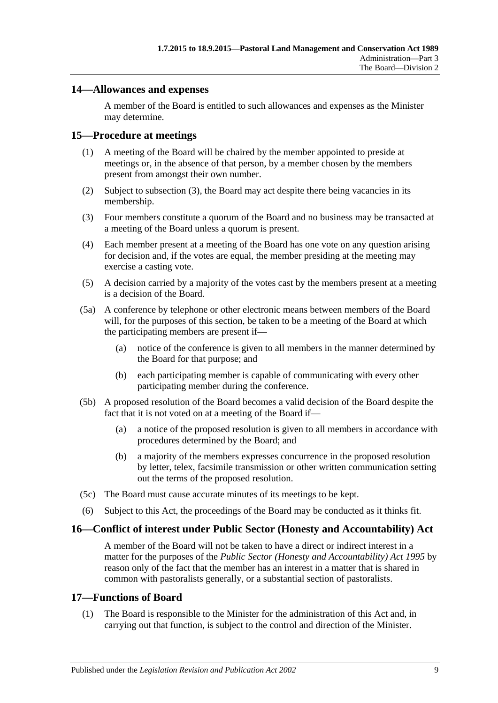## <span id="page-8-0"></span>**14—Allowances and expenses**

A member of the Board is entitled to such allowances and expenses as the Minister may determine.

## <span id="page-8-1"></span>**15—Procedure at meetings**

- (1) A meeting of the Board will be chaired by the member appointed to preside at meetings or, in the absence of that person, by a member chosen by the members present from amongst their own number.
- (2) Subject to [subsection](#page-8-4) (3), the Board may act despite there being vacancies in its membership.
- <span id="page-8-4"></span>(3) Four members constitute a quorum of the Board and no business may be transacted at a meeting of the Board unless a quorum is present.
- (4) Each member present at a meeting of the Board has one vote on any question arising for decision and, if the votes are equal, the member presiding at the meeting may exercise a casting vote.
- (5) A decision carried by a majority of the votes cast by the members present at a meeting is a decision of the Board.
- (5a) A conference by telephone or other electronic means between members of the Board will, for the purposes of this section, be taken to be a meeting of the Board at which the participating members are present if—
	- (a) notice of the conference is given to all members in the manner determined by the Board for that purpose; and
	- (b) each participating member is capable of communicating with every other participating member during the conference.
- (5b) A proposed resolution of the Board becomes a valid decision of the Board despite the fact that it is not voted on at a meeting of the Board if—
	- (a) a notice of the proposed resolution is given to all members in accordance with procedures determined by the Board; and
	- (b) a majority of the members expresses concurrence in the proposed resolution by letter, telex, facsimile transmission or other written communication setting out the terms of the proposed resolution.
- (5c) The Board must cause accurate minutes of its meetings to be kept.
- (6) Subject to this Act, the proceedings of the Board may be conducted as it thinks fit.

## <span id="page-8-2"></span>**16—Conflict of interest under Public Sector (Honesty and Accountability) Act**

A member of the Board will not be taken to have a direct or indirect interest in a matter for the purposes of the *[Public Sector \(Honesty and Accountability\) Act](http://www.legislation.sa.gov.au/index.aspx?action=legref&type=act&legtitle=Public%20Sector%20(Honesty%20and%20Accountability)%20Act%201995) 1995* by reason only of the fact that the member has an interest in a matter that is shared in common with pastoralists generally, or a substantial section of pastoralists.

## <span id="page-8-3"></span>**17—Functions of Board**

(1) The Board is responsible to the Minister for the administration of this Act and, in carrying out that function, is subject to the control and direction of the Minister.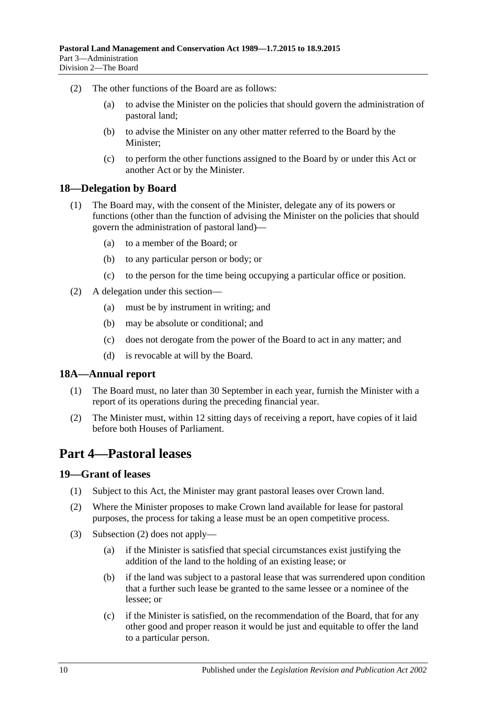- (2) The other functions of the Board are as follows:
	- (a) to advise the Minister on the policies that should govern the administration of pastoral land;
	- (b) to advise the Minister on any other matter referred to the Board by the Minister;
	- (c) to perform the other functions assigned to the Board by or under this Act or another Act or by the Minister.

#### <span id="page-9-0"></span>**18—Delegation by Board**

- (1) The Board may, with the consent of the Minister, delegate any of its powers or functions (other than the function of advising the Minister on the policies that should govern the administration of pastoral land)—
	- (a) to a member of the Board; or
	- (b) to any particular person or body; or
	- (c) to the person for the time being occupying a particular office or position.
- (2) A delegation under this section—
	- (a) must be by instrument in writing; and
	- (b) may be absolute or conditional; and
	- (c) does not derogate from the power of the Board to act in any matter; and
	- (d) is revocable at will by the Board.

#### <span id="page-9-1"></span>**18A—Annual report**

- (1) The Board must, no later than 30 September in each year, furnish the Minister with a report of its operations during the preceding financial year.
- (2) The Minister must, within 12 sitting days of receiving a report, have copies of it laid before both Houses of Parliament.

## <span id="page-9-2"></span>**Part 4—Pastoral leases**

#### <span id="page-9-3"></span>**19—Grant of leases**

- (1) Subject to this Act, the Minister may grant pastoral leases over Crown land.
- <span id="page-9-4"></span>(2) Where the Minister proposes to make Crown land available for lease for pastoral purposes, the process for taking a lease must be an open competitive process.
- (3) [Subsection](#page-9-4) (2) does not apply—
	- (a) if the Minister is satisfied that special circumstances exist justifying the addition of the land to the holding of an existing lease; or
	- (b) if the land was subject to a pastoral lease that was surrendered upon condition that a further such lease be granted to the same lessee or a nominee of the lessee; or
	- (c) if the Minister is satisfied, on the recommendation of the Board, that for any other good and proper reason it would be just and equitable to offer the land to a particular person.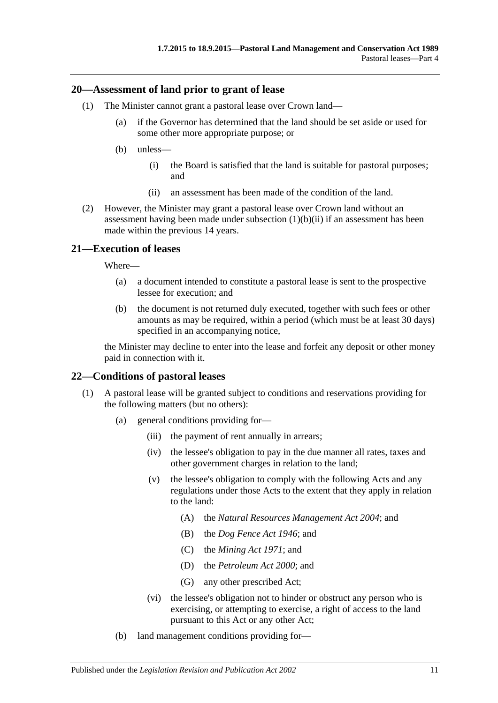#### <span id="page-10-0"></span>**20—Assessment of land prior to grant of lease**

- (1) The Minister cannot grant a pastoral lease over Crown land—
	- (a) if the Governor has determined that the land should be set aside or used for some other more appropriate purpose; or
	- (b) unless—
		- (i) the Board is satisfied that the land is suitable for pastoral purposes; and
		- (ii) an assessment has been made of the condition of the land.
- <span id="page-10-3"></span>(2) However, the Minister may grant a pastoral lease over Crown land without an assessment having been made under [subsection](#page-10-3)  $(1)(b)(ii)$  if an assessment has been made within the previous 14 years.

## <span id="page-10-1"></span>**21—Execution of leases**

Where—

- (a) a document intended to constitute a pastoral lease is sent to the prospective lessee for execution; and
- (b) the document is not returned duly executed, together with such fees or other amounts as may be required, within a period (which must be at least 30 days) specified in an accompanying notice,

the Minister may decline to enter into the lease and forfeit any deposit or other money paid in connection with it.

## <span id="page-10-2"></span>**22—Conditions of pastoral leases**

- <span id="page-10-5"></span><span id="page-10-4"></span>(1) A pastoral lease will be granted subject to conditions and reservations providing for the following matters (but no others):
	- (a) general conditions providing for—
		- (iii) the payment of rent annually in arrears;
		- (iv) the lessee's obligation to pay in the due manner all rates, taxes and other government charges in relation to the land;
		- (v) the lessee's obligation to comply with the following Acts and any regulations under those Acts to the extent that they apply in relation to the land:
			- (A) the *[Natural Resources Management Act](http://www.legislation.sa.gov.au/index.aspx?action=legref&type=act&legtitle=Natural%20Resources%20Management%20Act%202004) 2004*; and
			- (B) the *[Dog Fence Act](http://www.legislation.sa.gov.au/index.aspx?action=legref&type=act&legtitle=Dog%20Fence%20Act%201946) 1946*; and
			- (C) the *[Mining Act](http://www.legislation.sa.gov.au/index.aspx?action=legref&type=act&legtitle=Mining%20Act%201971) 1971*; and
			- (D) the *[Petroleum Act](http://www.legislation.sa.gov.au/index.aspx?action=legref&type=act&legtitle=Petroleum%20Act%202000) 2000*; and
			- (G) any other prescribed Act;
		- (vi) the lessee's obligation not to hinder or obstruct any person who is exercising, or attempting to exercise, a right of access to the land pursuant to this Act or any other Act;
	- (b) land management conditions providing for—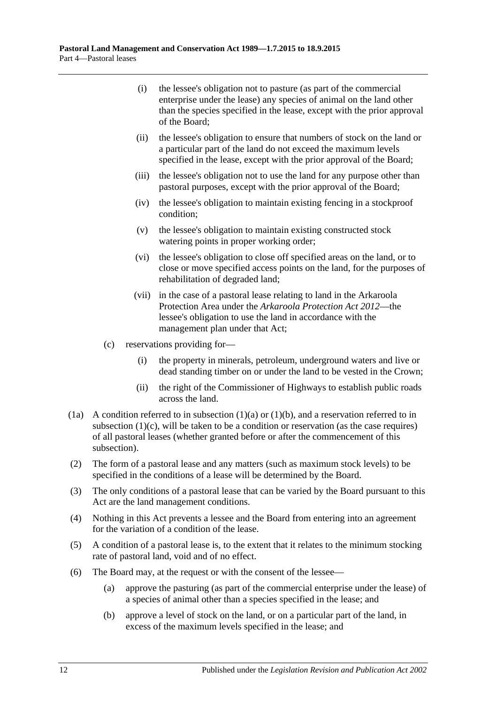- (i) the lessee's obligation not to pasture (as part of the commercial enterprise under the lease) any species of animal on the land other than the species specified in the lease, except with the prior approval of the Board;
- (ii) the lessee's obligation to ensure that numbers of stock on the land or a particular part of the land do not exceed the maximum levels specified in the lease, except with the prior approval of the Board;
- (iii) the lessee's obligation not to use the land for any purpose other than pastoral purposes, except with the prior approval of the Board;
- (iv) the lessee's obligation to maintain existing fencing in a stockproof condition;
- (v) the lessee's obligation to maintain existing constructed stock watering points in proper working order;
- (vi) the lessee's obligation to close off specified areas on the land, or to close or move specified access points on the land, for the purposes of rehabilitation of degraded land;
- (vii) in the case of a pastoral lease relating to land in the Arkaroola Protection Area under the *[Arkaroola Protection Act](http://www.legislation.sa.gov.au/index.aspx?action=legref&type=act&legtitle=Arkaroola%20Protection%20Act%202012) 2012*—the lessee's obligation to use the land in accordance with the management plan under that Act;
- <span id="page-11-0"></span>(c) reservations providing for—
	- (i) the property in minerals, petroleum, underground waters and live or dead standing timber on or under the land to be vested in the Crown;
	- (ii) the right of the Commissioner of Highways to establish public roads across the land.
- (1a) A condition referred to in [subsection](#page-10-4)  $(1)(a)$  or  $(1)(b)$ , and a reservation referred to in [subsection](#page-11-0) (1)(c), will be taken to be a condition or reservation (as the case requires) of all pastoral leases (whether granted before or after the commencement of this subsection).
- (2) The form of a pastoral lease and any matters (such as maximum stock levels) to be specified in the conditions of a lease will be determined by the Board.
- (3) The only conditions of a pastoral lease that can be varied by the Board pursuant to this Act are the land management conditions.
- (4) Nothing in this Act prevents a lessee and the Board from entering into an agreement for the variation of a condition of the lease.
- (5) A condition of a pastoral lease is, to the extent that it relates to the minimum stocking rate of pastoral land, void and of no effect.
- <span id="page-11-1"></span>(6) The Board may, at the request or with the consent of the lessee—
	- (a) approve the pasturing (as part of the commercial enterprise under the lease) of a species of animal other than a species specified in the lease; and
	- (b) approve a level of stock on the land, or on a particular part of the land, in excess of the maximum levels specified in the lease; and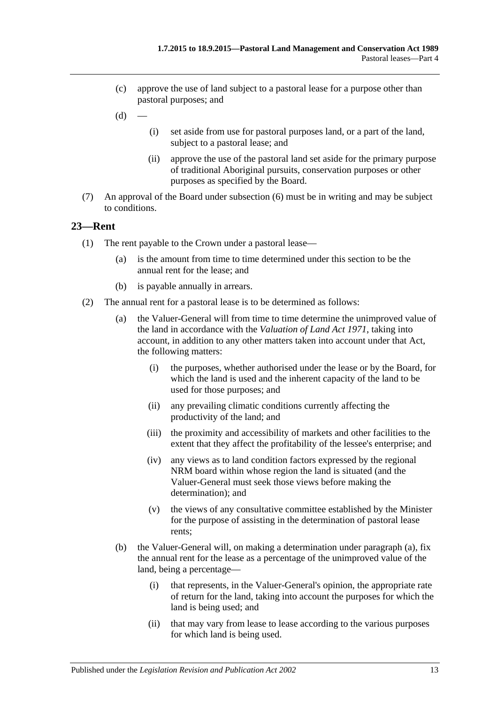- (c) approve the use of land subject to a pastoral lease for a purpose other than pastoral purposes; and
- $(d)$
- (i) set aside from use for pastoral purposes land, or a part of the land, subject to a pastoral lease; and
- (ii) approve the use of the pastoral land set aside for the primary purpose of traditional Aboriginal pursuits, conservation purposes or other purposes as specified by the Board.
- (7) An approval of the Board under [subsection](#page-11-1) (6) must be in writing and may be subject to conditions.

## <span id="page-12-0"></span>**23—Rent**

- (1) The rent payable to the Crown under a pastoral lease—
	- (a) is the amount from time to time determined under this section to be the annual rent for the lease; and
	- (b) is payable annually in arrears.
- <span id="page-12-1"></span>(2) The annual rent for a pastoral lease is to be determined as follows:
	- (a) the Valuer-General will from time to time determine the unimproved value of the land in accordance with the *[Valuation of Land Act](http://www.legislation.sa.gov.au/index.aspx?action=legref&type=act&legtitle=Valuation%20of%20Land%20Act%201971) 1971*, taking into account, in addition to any other matters taken into account under that Act, the following matters:
		- (i) the purposes, whether authorised under the lease or by the Board, for which the land is used and the inherent capacity of the land to be used for those purposes; and
		- (ii) any prevailing climatic conditions currently affecting the productivity of the land; and
		- (iii) the proximity and accessibility of markets and other facilities to the extent that they affect the profitability of the lessee's enterprise; and
		- (iv) any views as to land condition factors expressed by the regional NRM board within whose region the land is situated (and the Valuer-General must seek those views before making the determination); and
		- (v) the views of any consultative committee established by the Minister for the purpose of assisting in the determination of pastoral lease rents;
	- (b) the Valuer-General will, on making a determination under [paragraph](#page-12-1) (a), fix the annual rent for the lease as a percentage of the unimproved value of the land, being a percentage—
		- (i) that represents, in the Valuer-General's opinion, the appropriate rate of return for the land, taking into account the purposes for which the land is being used; and
		- (ii) that may vary from lease to lease according to the various purposes for which land is being used.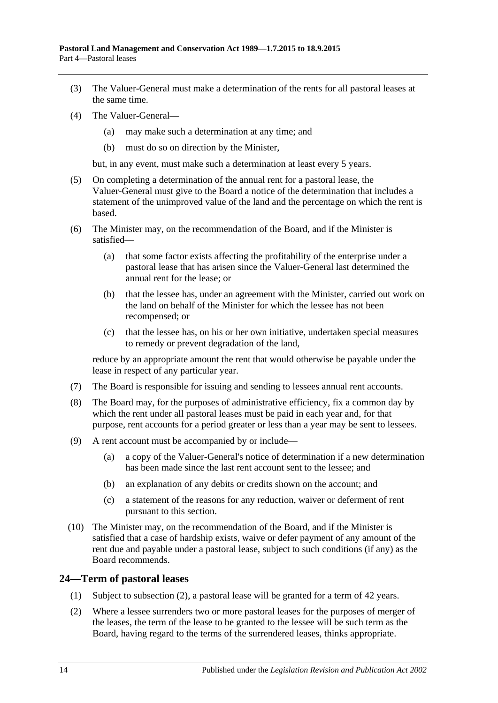- (3) The Valuer-General must make a determination of the rents for all pastoral leases at the same time.
- (4) The Valuer-General—
	- (a) may make such a determination at any time; and
	- (b) must do so on direction by the Minister,

but, in any event, must make such a determination at least every 5 years.

- (5) On completing a determination of the annual rent for a pastoral lease, the Valuer-General must give to the Board a notice of the determination that includes a statement of the unimproved value of the land and the percentage on which the rent is based.
- (6) The Minister may, on the recommendation of the Board, and if the Minister is satisfied—
	- (a) that some factor exists affecting the profitability of the enterprise under a pastoral lease that has arisen since the Valuer-General last determined the annual rent for the lease; or
	- (b) that the lessee has, under an agreement with the Minister, carried out work on the land on behalf of the Minister for which the lessee has not been recompensed; or
	- (c) that the lessee has, on his or her own initiative, undertaken special measures to remedy or prevent degradation of the land,

reduce by an appropriate amount the rent that would otherwise be payable under the lease in respect of any particular year.

- (7) The Board is responsible for issuing and sending to lessees annual rent accounts.
- (8) The Board may, for the purposes of administrative efficiency, fix a common day by which the rent under all pastoral leases must be paid in each year and, for that purpose, rent accounts for a period greater or less than a year may be sent to lessees.
- (9) A rent account must be accompanied by or include—
	- (a) a copy of the Valuer-General's notice of determination if a new determination has been made since the last rent account sent to the lessee; and
	- (b) an explanation of any debits or credits shown on the account; and
	- (c) a statement of the reasons for any reduction, waiver or deferment of rent pursuant to this section.
- (10) The Minister may, on the recommendation of the Board, and if the Minister is satisfied that a case of hardship exists, waive or defer payment of any amount of the rent due and payable under a pastoral lease, subject to such conditions (if any) as the Board recommends.

## <span id="page-13-0"></span>**24—Term of pastoral leases**

- (1) Subject to [subsection](#page-13-1) (2), a pastoral lease will be granted for a term of 42 years.
- <span id="page-13-1"></span>(2) Where a lessee surrenders two or more pastoral leases for the purposes of merger of the leases, the term of the lease to be granted to the lessee will be such term as the Board, having regard to the terms of the surrendered leases, thinks appropriate.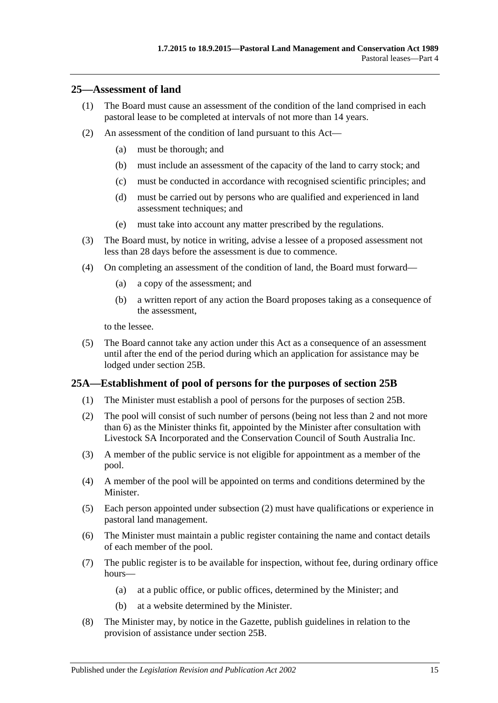#### <span id="page-14-0"></span>**25—Assessment of land**

- (1) The Board must cause an assessment of the condition of the land comprised in each pastoral lease to be completed at intervals of not more than 14 years.
- (2) An assessment of the condition of land pursuant to this Act—
	- (a) must be thorough; and
	- (b) must include an assessment of the capacity of the land to carry stock; and
	- (c) must be conducted in accordance with recognised scientific principles; and
	- (d) must be carried out by persons who are qualified and experienced in land assessment techniques; and
	- (e) must take into account any matter prescribed by the regulations.
- (3) The Board must, by notice in writing, advise a lessee of a proposed assessment not less than 28 days before the assessment is due to commence.
- <span id="page-14-3"></span>(4) On completing an assessment of the condition of land, the Board must forward—
	- (a) a copy of the assessment; and
	- (b) a written report of any action the Board proposes taking as a consequence of the assessment,

to the lessee.

(5) The Board cannot take any action under this Act as a consequence of an assessment until after the end of the period during which an application for assistance may be lodged under [section](#page-15-0) 25B.

## <span id="page-14-1"></span>**25A—Establishment of pool of persons for the purposes of [section](#page-15-0) 25B**

- (1) The Minister must establish a pool of persons for the purposes of [section](#page-15-0) 25B.
- <span id="page-14-2"></span>(2) The pool will consist of such number of persons (being not less than 2 and not more than 6) as the Minister thinks fit, appointed by the Minister after consultation with Livestock SA Incorporated and the Conservation Council of South Australia Inc.
- (3) A member of the public service is not eligible for appointment as a member of the pool.
- (4) A member of the pool will be appointed on terms and conditions determined by the Minister.
- (5) Each person appointed under [subsection](#page-14-2) (2) must have qualifications or experience in pastoral land management.
- (6) The Minister must maintain a public register containing the name and contact details of each member of the pool.
- (7) The public register is to be available for inspection, without fee, during ordinary office hours—
	- (a) at a public office, or public offices, determined by the Minister; and
	- (b) at a website determined by the Minister.
- <span id="page-14-4"></span>(8) The Minister may, by notice in the Gazette, publish guidelines in relation to the provision of assistance under [section](#page-15-0) 25B.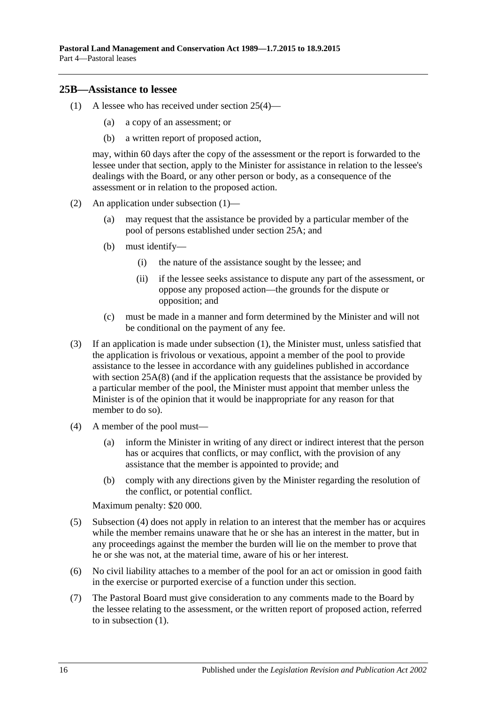#### <span id="page-15-1"></span><span id="page-15-0"></span>**25B—Assistance to lessee**

- (1) A lessee who has received under [section](#page-14-3) 25(4)—
	- (a) a copy of an assessment; or
	- (b) a written report of proposed action,

may, within 60 days after the copy of the assessment or the report is forwarded to the lessee under that section, apply to the Minister for assistance in relation to the lessee's dealings with the Board, or any other person or body, as a consequence of the assessment or in relation to the proposed action.

- (2) An application under [subsection](#page-15-1) (1)—
	- (a) may request that the assistance be provided by a particular member of the pool of persons established under [section](#page-14-1) 25A; and
	- (b) must identify—
		- (i) the nature of the assistance sought by the lessee; and
		- (ii) if the lessee seeks assistance to dispute any part of the assessment, or oppose any proposed action—the grounds for the dispute or opposition; and
	- (c) must be made in a manner and form determined by the Minister and will not be conditional on the payment of any fee.
- (3) If an application is made under [subsection](#page-15-1) (1), the Minister must, unless satisfied that the application is frivolous or vexatious, appoint a member of the pool to provide assistance to the lessee in accordance with any guidelines published in accordance with [section](#page-14-4) 25A(8) (and if the application requests that the assistance be provided by a particular member of the pool, the Minister must appoint that member unless the Minister is of the opinion that it would be inappropriate for any reason for that member to do so).
- <span id="page-15-2"></span>(4) A member of the pool must—
	- (a) inform the Minister in writing of any direct or indirect interest that the person has or acquires that conflicts, or may conflict, with the provision of any assistance that the member is appointed to provide; and
	- (b) comply with any directions given by the Minister regarding the resolution of the conflict, or potential conflict.

Maximum penalty: \$20 000.

- (5) [Subsection](#page-15-2) (4) does not apply in relation to an interest that the member has or acquires while the member remains unaware that he or she has an interest in the matter, but in any proceedings against the member the burden will lie on the member to prove that he or she was not, at the material time, aware of his or her interest.
- (6) No civil liability attaches to a member of the pool for an act or omission in good faith in the exercise or purported exercise of a function under this section.
- (7) The Pastoral Board must give consideration to any comments made to the Board by the lessee relating to the assessment, or the written report of proposed action, referred to in [subsection](#page-15-1) (1).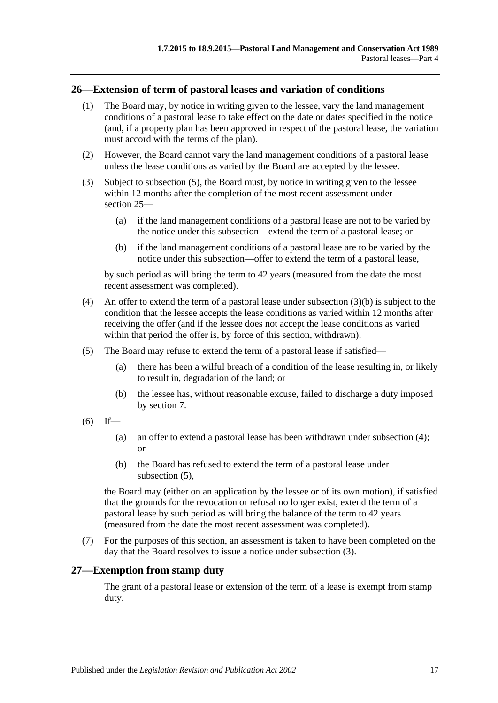## <span id="page-16-0"></span>**26—Extension of term of pastoral leases and variation of conditions**

- (1) The Board may, by notice in writing given to the lessee, vary the land management conditions of a pastoral lease to take effect on the date or dates specified in the notice (and, if a property plan has been approved in respect of the pastoral lease, the variation must accord with the terms of the plan).
- (2) However, the Board cannot vary the land management conditions of a pastoral lease unless the lease conditions as varied by the Board are accepted by the lessee.
- <span id="page-16-5"></span>(3) Subject to [subsection](#page-16-2) (5), the Board must, by notice in writing given to the lessee within 12 months after the completion of the most recent assessment under [section](#page-14-0) 25—
	- (a) if the land management conditions of a pastoral lease are not to be varied by the notice under this subsection—extend the term of a pastoral lease; or
	- (b) if the land management conditions of a pastoral lease are to be varied by the notice under this subsection—offer to extend the term of a pastoral lease,

<span id="page-16-3"></span>by such period as will bring the term to 42 years (measured from the date the most recent assessment was completed).

- <span id="page-16-4"></span>(4) An offer to extend the term of a pastoral lease under [subsection](#page-16-3) (3)(b) is subject to the condition that the lessee accepts the lease conditions as varied within 12 months after receiving the offer (and if the lessee does not accept the lease conditions as varied within that period the offer is, by force of this section, withdrawn).
- <span id="page-16-2"></span>(5) The Board may refuse to extend the term of a pastoral lease if satisfied—
	- (a) there has been a wilful breach of a condition of the lease resulting in, or likely to result in, degradation of the land; or
	- (b) the lessee has, without reasonable excuse, failed to discharge a duty imposed by [section](#page-5-0) 7.
- $(6)$  If—
	- (a) an offer to extend a pastoral lease has been withdrawn under [subsection](#page-16-4) (4); or
	- (b) the Board has refused to extend the term of a pastoral lease under [subsection](#page-16-2)  $(5)$ .

the Board may (either on an application by the lessee or of its own motion), if satisfied that the grounds for the revocation or refusal no longer exist, extend the term of a pastoral lease by such period as will bring the balance of the term to 42 years (measured from the date the most recent assessment was completed).

(7) For the purposes of this section, an assessment is taken to have been completed on the day that the Board resolves to issue a notice under [subsection](#page-16-5) (3).

## <span id="page-16-1"></span>**27—Exemption from stamp duty**

The grant of a pastoral lease or extension of the term of a lease is exempt from stamp duty.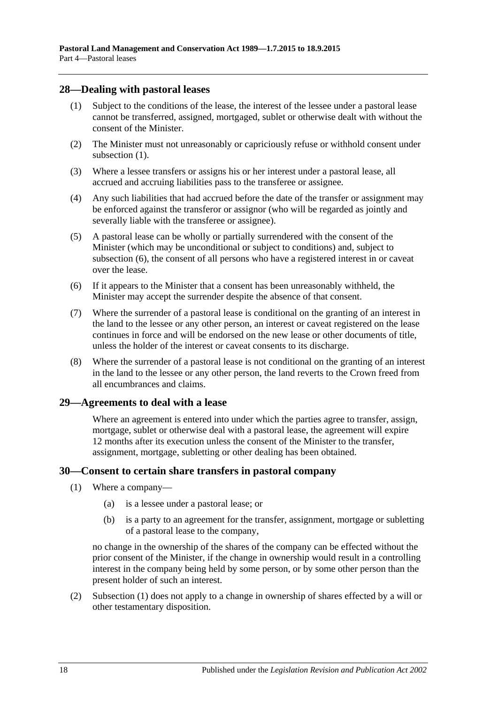#### <span id="page-17-3"></span><span id="page-17-0"></span>**28—Dealing with pastoral leases**

- (1) Subject to the conditions of the lease, the interest of the lessee under a pastoral lease cannot be transferred, assigned, mortgaged, sublet or otherwise dealt with without the consent of the Minister.
- (2) The Minister must not unreasonably or capriciously refuse or withhold consent under [subsection](#page-17-3)  $(1)$ .
- (3) Where a lessee transfers or assigns his or her interest under a pastoral lease, all accrued and accruing liabilities pass to the transferee or assignee.
- (4) Any such liabilities that had accrued before the date of the transfer or assignment may be enforced against the transferor or assignor (who will be regarded as jointly and severally liable with the transferee or assignee).
- (5) A pastoral lease can be wholly or partially surrendered with the consent of the Minister (which may be unconditional or subject to conditions) and, subject to [subsection](#page-17-4) (6), the consent of all persons who have a registered interest in or caveat over the lease.
- <span id="page-17-4"></span>(6) If it appears to the Minister that a consent has been unreasonably withheld, the Minister may accept the surrender despite the absence of that consent.
- (7) Where the surrender of a pastoral lease is conditional on the granting of an interest in the land to the lessee or any other person, an interest or caveat registered on the lease continues in force and will be endorsed on the new lease or other documents of title, unless the holder of the interest or caveat consents to its discharge.
- (8) Where the surrender of a pastoral lease is not conditional on the granting of an interest in the land to the lessee or any other person, the land reverts to the Crown freed from all encumbrances and claims.

## <span id="page-17-1"></span>**29—Agreements to deal with a lease**

Where an agreement is entered into under which the parties agree to transfer, assign, mortgage, sublet or otherwise deal with a pastoral lease, the agreement will expire 12 months after its execution unless the consent of the Minister to the transfer, assignment, mortgage, subletting or other dealing has been obtained.

#### <span id="page-17-5"></span><span id="page-17-2"></span>**30—Consent to certain share transfers in pastoral company**

- (1) Where a company—
	- (a) is a lessee under a pastoral lease; or
	- (b) is a party to an agreement for the transfer, assignment, mortgage or subletting of a pastoral lease to the company,

no change in the ownership of the shares of the company can be effected without the prior consent of the Minister, if the change in ownership would result in a controlling interest in the company being held by some person, or by some other person than the present holder of such an interest.

(2) [Subsection](#page-17-5) (1) does not apply to a change in ownership of shares effected by a will or other testamentary disposition.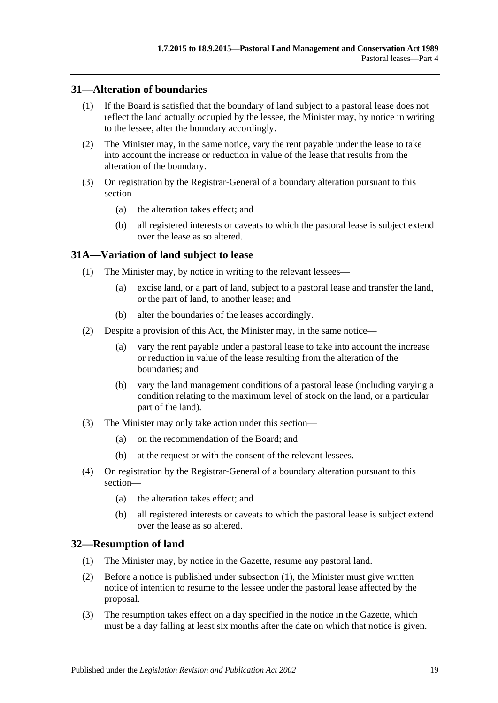## <span id="page-18-0"></span>**31—Alteration of boundaries**

- (1) If the Board is satisfied that the boundary of land subject to a pastoral lease does not reflect the land actually occupied by the lessee, the Minister may, by notice in writing to the lessee, alter the boundary accordingly.
- (2) The Minister may, in the same notice, vary the rent payable under the lease to take into account the increase or reduction in value of the lease that results from the alteration of the boundary.
- (3) On registration by the Registrar-General of a boundary alteration pursuant to this section—
	- (a) the alteration takes effect; and
	- (b) all registered interests or caveats to which the pastoral lease is subject extend over the lease as so altered.

## <span id="page-18-1"></span>**31A—Variation of land subject to lease**

- (1) The Minister may, by notice in writing to the relevant lessees—
	- (a) excise land, or a part of land, subject to a pastoral lease and transfer the land, or the part of land, to another lease; and
	- (b) alter the boundaries of the leases accordingly.
- (2) Despite a provision of this Act, the Minister may, in the same notice—
	- (a) vary the rent payable under a pastoral lease to take into account the increase or reduction in value of the lease resulting from the alteration of the boundaries; and
	- (b) vary the land management conditions of a pastoral lease (including varying a condition relating to the maximum level of stock on the land, or a particular part of the land).
- (3) The Minister may only take action under this section—
	- (a) on the recommendation of the Board; and
	- (b) at the request or with the consent of the relevant lessees.
- (4) On registration by the Registrar-General of a boundary alteration pursuant to this section—
	- (a) the alteration takes effect; and
	- (b) all registered interests or caveats to which the pastoral lease is subject extend over the lease as so altered.

## <span id="page-18-3"></span><span id="page-18-2"></span>**32—Resumption of land**

- (1) The Minister may, by notice in the Gazette, resume any pastoral land.
- (2) Before a notice is published under [subsection](#page-18-3) (1), the Minister must give written notice of intention to resume to the lessee under the pastoral lease affected by the proposal.
- (3) The resumption takes effect on a day specified in the notice in the Gazette, which must be a day falling at least six months after the date on which that notice is given.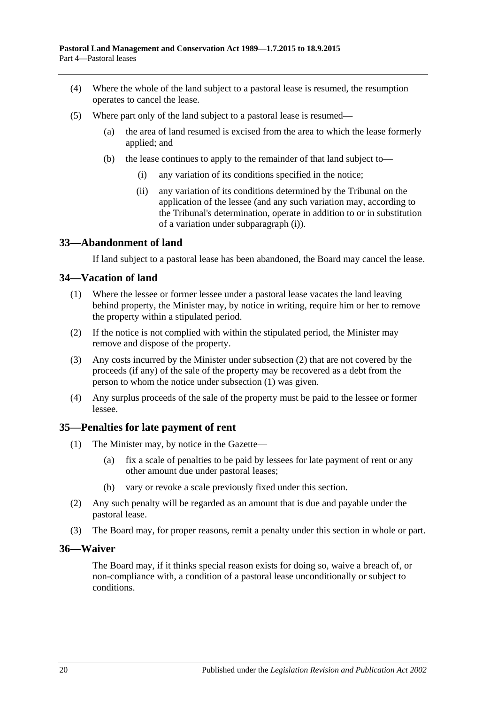- (4) Where the whole of the land subject to a pastoral lease is resumed, the resumption operates to cancel the lease.
- <span id="page-19-4"></span>(5) Where part only of the land subject to a pastoral lease is resumed—
	- (a) the area of land resumed is excised from the area to which the lease formerly applied; and
	- (b) the lease continues to apply to the remainder of that land subject to—
		- (i) any variation of its conditions specified in the notice;
		- (ii) any variation of its conditions determined by the Tribunal on the application of the lessee (and any such variation may, according to the Tribunal's determination, operate in addition to or in substitution of a variation under [subparagraph](#page-19-4) (i)).

## <span id="page-19-0"></span>**33—Abandonment of land**

If land subject to a pastoral lease has been abandoned, the Board may cancel the lease.

#### <span id="page-19-6"></span><span id="page-19-1"></span>**34—Vacation of land**

- (1) Where the lessee or former lessee under a pastoral lease vacates the land leaving behind property, the Minister may, by notice in writing, require him or her to remove the property within a stipulated period.
- <span id="page-19-5"></span>(2) If the notice is not complied with within the stipulated period, the Minister may remove and dispose of the property.
- (3) Any costs incurred by the Minister under [subsection](#page-19-5) (2) that are not covered by the proceeds (if any) of the sale of the property may be recovered as a debt from the person to whom the notice under [subsection](#page-19-6) (1) was given.
- (4) Any surplus proceeds of the sale of the property must be paid to the lessee or former lessee.

## <span id="page-19-2"></span>**35—Penalties for late payment of rent**

- (1) The Minister may, by notice in the Gazette—
	- (a) fix a scale of penalties to be paid by lessees for late payment of rent or any other amount due under pastoral leases;
	- (b) vary or revoke a scale previously fixed under this section.
- (2) Any such penalty will be regarded as an amount that is due and payable under the pastoral lease.
- (3) The Board may, for proper reasons, remit a penalty under this section in whole or part.

#### <span id="page-19-3"></span>**36—Waiver**

The Board may, if it thinks special reason exists for doing so, waive a breach of, or non-compliance with, a condition of a pastoral lease unconditionally or subject to conditions.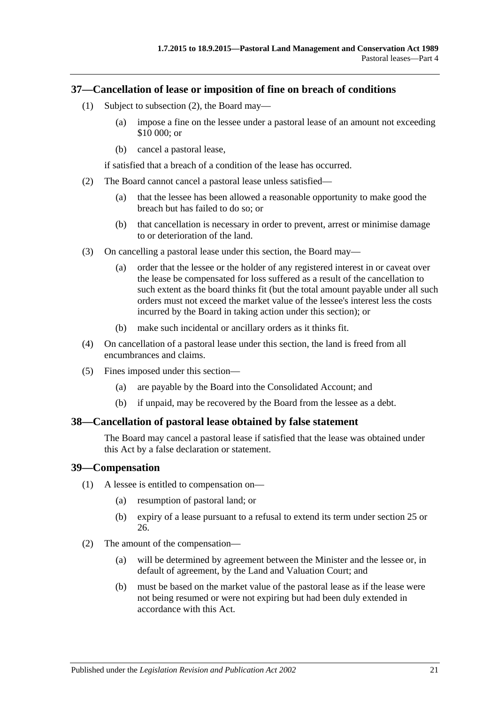#### <span id="page-20-0"></span>**37—Cancellation of lease or imposition of fine on breach of conditions**

- (1) Subject to [subsection](#page-20-3) (2), the Board may—
	- (a) impose a fine on the lessee under a pastoral lease of an amount not exceeding \$10 000; or
	- (b) cancel a pastoral lease,

if satisfied that a breach of a condition of the lease has occurred.

- <span id="page-20-3"></span>(2) The Board cannot cancel a pastoral lease unless satisfied—
	- (a) that the lessee has been allowed a reasonable opportunity to make good the breach but has failed to do so; or
	- (b) that cancellation is necessary in order to prevent, arrest or minimise damage to or deterioration of the land.
- (3) On cancelling a pastoral lease under this section, the Board may—
	- (a) order that the lessee or the holder of any registered interest in or caveat over the lease be compensated for loss suffered as a result of the cancellation to such extent as the board thinks fit (but the total amount payable under all such orders must not exceed the market value of the lessee's interest less the costs incurred by the Board in taking action under this section); or
	- (b) make such incidental or ancillary orders as it thinks fit.
- (4) On cancellation of a pastoral lease under this section, the land is freed from all encumbrances and claims.
- (5) Fines imposed under this section—
	- (a) are payable by the Board into the Consolidated Account; and
	- (b) if unpaid, may be recovered by the Board from the lessee as a debt.

#### <span id="page-20-1"></span>**38—Cancellation of pastoral lease obtained by false statement**

The Board may cancel a pastoral lease if satisfied that the lease was obtained under this Act by a false declaration or statement.

#### <span id="page-20-2"></span>**39—Compensation**

- (1) A lessee is entitled to compensation on—
	- (a) resumption of pastoral land; or
	- (b) expiry of a lease pursuant to a refusal to extend its term under [section](#page-14-0) 25 or [26.](#page-16-0)
- (2) The amount of the compensation—
	- (a) will be determined by agreement between the Minister and the lessee or, in default of agreement, by the Land and Valuation Court; and
	- (b) must be based on the market value of the pastoral lease as if the lease were not being resumed or were not expiring but had been duly extended in accordance with this Act.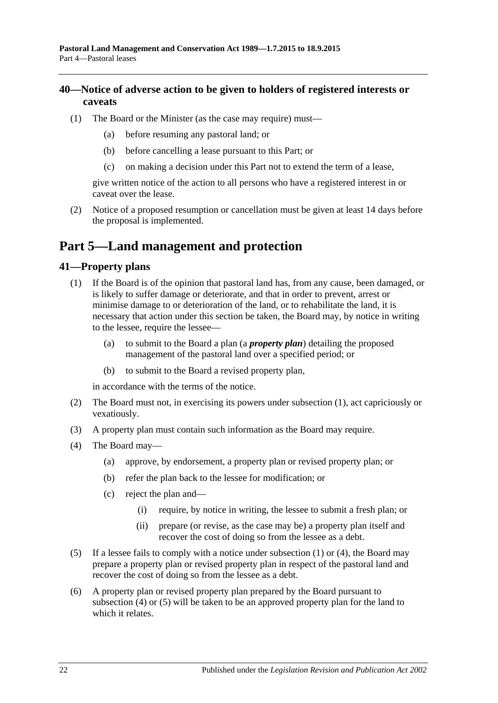## <span id="page-21-0"></span>**40—Notice of adverse action to be given to holders of registered interests or caveats**

- (1) The Board or the Minister (as the case may require) must—
	- (a) before resuming any pastoral land; or
	- (b) before cancelling a lease pursuant to this Part; or
	- (c) on making a decision under this Part not to extend the term of a lease,

give written notice of the action to all persons who have a registered interest in or caveat over the lease.

(2) Notice of a proposed resumption or cancellation must be given at least 14 days before the proposal is implemented.

# <span id="page-21-1"></span>**Part 5—Land management and protection**

## <span id="page-21-3"></span><span id="page-21-2"></span>**41—Property plans**

- (1) If the Board is of the opinion that pastoral land has, from any cause, been damaged, or is likely to suffer damage or deteriorate, and that in order to prevent, arrest or minimise damage to or deterioration of the land, or to rehabilitate the land, it is necessary that action under this section be taken, the Board may, by notice in writing to the lessee, require the lessee—
	- (a) to submit to the Board a plan (a *property plan*) detailing the proposed management of the pastoral land over a specified period; or
	- (b) to submit to the Board a revised property plan,

in accordance with the terms of the notice.

- (2) The Board must not, in exercising its powers under [subsection](#page-21-3) (1), act capriciously or vexatiously.
- (3) A property plan must contain such information as the Board may require.
- <span id="page-21-4"></span>(4) The Board may—
	- (a) approve, by endorsement, a property plan or revised property plan; or
	- (b) refer the plan back to the lessee for modification; or
	- (c) reject the plan and—
		- (i) require, by notice in writing, the lessee to submit a fresh plan; or
		- (ii) prepare (or revise, as the case may be) a property plan itself and recover the cost of doing so from the lessee as a debt.
- <span id="page-21-5"></span>(5) If a lessee fails to comply with a notice under [subsection](#page-21-3) (1) or [\(4\),](#page-21-4) the Board may prepare a property plan or revised property plan in respect of the pastoral land and recover the cost of doing so from the lessee as a debt.
- (6) A property plan or revised property plan prepared by the Board pursuant to [subsection](#page-21-4) (4) or [\(5\)](#page-21-5) will be taken to be an approved property plan for the land to which it relates.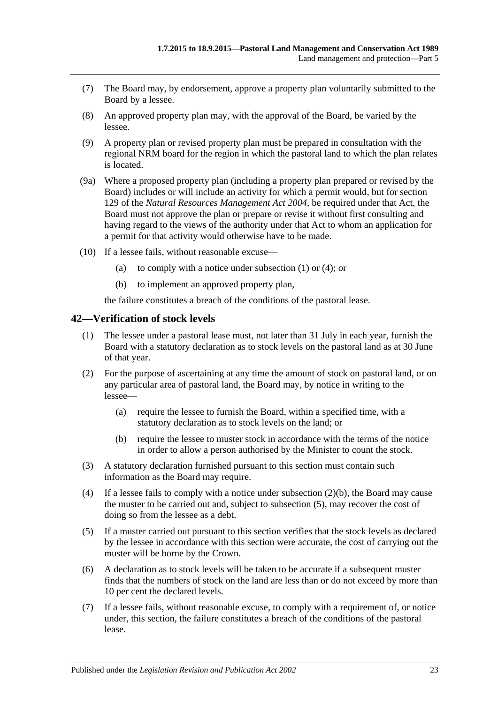- (7) The Board may, by endorsement, approve a property plan voluntarily submitted to the Board by a lessee.
- (8) An approved property plan may, with the approval of the Board, be varied by the lessee.
- (9) A property plan or revised property plan must be prepared in consultation with the regional NRM board for the region in which the pastoral land to which the plan relates is located.
- (9a) Where a proposed property plan (including a property plan prepared or revised by the Board) includes or will include an activity for which a permit would, but for section 129 of the *[Natural Resources Management Act](http://www.legislation.sa.gov.au/index.aspx?action=legref&type=act&legtitle=Natural%20Resources%20Management%20Act%202004) 2004*, be required under that Act, the Board must not approve the plan or prepare or revise it without first consulting and having regard to the views of the authority under that Act to whom an application for a permit for that activity would otherwise have to be made.
- (10) If a lessee fails, without reasonable excuse
	- (a) to comply with a notice under [subsection](#page-21-3)  $(1)$  or  $(4)$ ; or
	- (b) to implement an approved property plan,

the failure constitutes a breach of the conditions of the pastoral lease.

#### <span id="page-22-0"></span>**42—Verification of stock levels**

- (1) The lessee under a pastoral lease must, not later than 31 July in each year, furnish the Board with a statutory declaration as to stock levels on the pastoral land as at 30 June of that year.
- (2) For the purpose of ascertaining at any time the amount of stock on pastoral land, or on any particular area of pastoral land, the Board may, by notice in writing to the lessee—
	- (a) require the lessee to furnish the Board, within a specified time, with a statutory declaration as to stock levels on the land; or
	- (b) require the lessee to muster stock in accordance with the terms of the notice in order to allow a person authorised by the Minister to count the stock.
- <span id="page-22-1"></span>(3) A statutory declaration furnished pursuant to this section must contain such information as the Board may require.
- (4) If a lessee fails to comply with a notice under [subsection](#page-22-1) (2)(b), the Board may cause the muster to be carried out and, subject to [subsection](#page-22-2) (5), may recover the cost of doing so from the lessee as a debt.
- <span id="page-22-2"></span>(5) If a muster carried out pursuant to this section verifies that the stock levels as declared by the lessee in accordance with this section were accurate, the cost of carrying out the muster will be borne by the Crown.
- (6) A declaration as to stock levels will be taken to be accurate if a subsequent muster finds that the numbers of stock on the land are less than or do not exceed by more than 10 per cent the declared levels.
- (7) If a lessee fails, without reasonable excuse, to comply with a requirement of, or notice under, this section, the failure constitutes a breach of the conditions of the pastoral lease.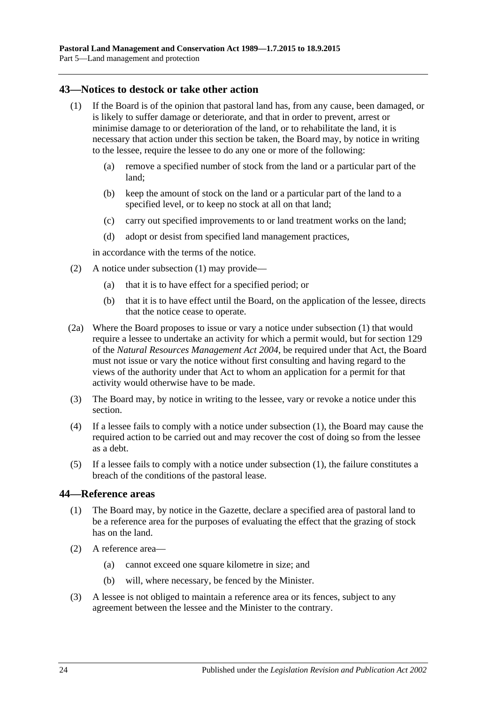#### <span id="page-23-2"></span><span id="page-23-0"></span>**43—Notices to destock or take other action**

- (1) If the Board is of the opinion that pastoral land has, from any cause, been damaged, or is likely to suffer damage or deteriorate, and that in order to prevent, arrest or minimise damage to or deterioration of the land, or to rehabilitate the land, it is necessary that action under this section be taken, the Board may, by notice in writing to the lessee, require the lessee to do any one or more of the following:
	- (a) remove a specified number of stock from the land or a particular part of the land;
	- (b) keep the amount of stock on the land or a particular part of the land to a specified level, or to keep no stock at all on that land;
	- (c) carry out specified improvements to or land treatment works on the land;
	- (d) adopt or desist from specified land management practices,

in accordance with the terms of the notice.

- (2) A notice under [subsection](#page-23-2) (1) may provide—
	- (a) that it is to have effect for a specified period; or
	- (b) that it is to have effect until the Board, on the application of the lessee, directs that the notice cease to operate.
- (2a) Where the Board proposes to issue or vary a notice under [subsection](#page-23-2) (1) that would require a lessee to undertake an activity for which a permit would, but for section 129 of the *[Natural Resources Management Act](http://www.legislation.sa.gov.au/index.aspx?action=legref&type=act&legtitle=Natural%20Resources%20Management%20Act%202004) 2004*, be required under that Act, the Board must not issue or vary the notice without first consulting and having regard to the views of the authority under that Act to whom an application for a permit for that activity would otherwise have to be made.
- (3) The Board may, by notice in writing to the lessee, vary or revoke a notice under this section.
- (4) If a lessee fails to comply with a notice under [subsection](#page-23-2) (1), the Board may cause the required action to be carried out and may recover the cost of doing so from the lessee as a debt.
- (5) If a lessee fails to comply with a notice under [subsection](#page-23-2) (1), the failure constitutes a breach of the conditions of the pastoral lease.

#### <span id="page-23-1"></span>**44—Reference areas**

- (1) The Board may, by notice in the Gazette, declare a specified area of pastoral land to be a reference area for the purposes of evaluating the effect that the grazing of stock has on the land.
- (2) A reference area—
	- (a) cannot exceed one square kilometre in size; and
	- (b) will, where necessary, be fenced by the Minister.
- (3) A lessee is not obliged to maintain a reference area or its fences, subject to any agreement between the lessee and the Minister to the contrary.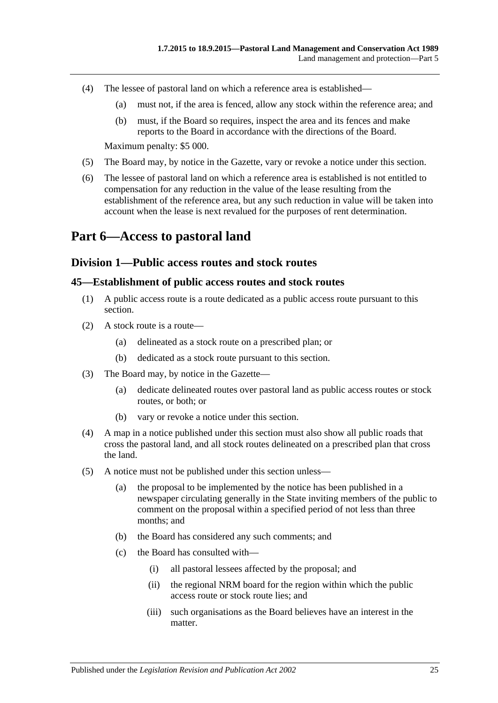- (4) The lessee of pastoral land on which a reference area is established—
	- (a) must not, if the area is fenced, allow any stock within the reference area; and
	- (b) must, if the Board so requires, inspect the area and its fences and make reports to the Board in accordance with the directions of the Board.

Maximum penalty: \$5 000.

- (5) The Board may, by notice in the Gazette, vary or revoke a notice under this section.
- (6) The lessee of pastoral land on which a reference area is established is not entitled to compensation for any reduction in the value of the lease resulting from the establishment of the reference area, but any such reduction in value will be taken into account when the lease is next revalued for the purposes of rent determination.

## <span id="page-24-1"></span><span id="page-24-0"></span>**Part 6—Access to pastoral land**

#### **Division 1—Public access routes and stock routes**

#### <span id="page-24-2"></span>**45—Establishment of public access routes and stock routes**

- (1) A public access route is a route dedicated as a public access route pursuant to this section.
- (2) A stock route is a route—
	- (a) delineated as a stock route on a prescribed plan; or
	- (b) dedicated as a stock route pursuant to this section.
- (3) The Board may, by notice in the Gazette—
	- (a) dedicate delineated routes over pastoral land as public access routes or stock routes, or both; or
	- (b) vary or revoke a notice under this section.
- (4) A map in a notice published under this section must also show all public roads that cross the pastoral land, and all stock routes delineated on a prescribed plan that cross the land.
- <span id="page-24-3"></span>(5) A notice must not be published under this section unless—
	- (a) the proposal to be implemented by the notice has been published in a newspaper circulating generally in the State inviting members of the public to comment on the proposal within a specified period of not less than three months; and
	- (b) the Board has considered any such comments; and
	- (c) the Board has consulted with—
		- (i) all pastoral lessees affected by the proposal; and
		- (ii) the regional NRM board for the region within which the public access route or stock route lies; and
		- (iii) such organisations as the Board believes have an interest in the matter.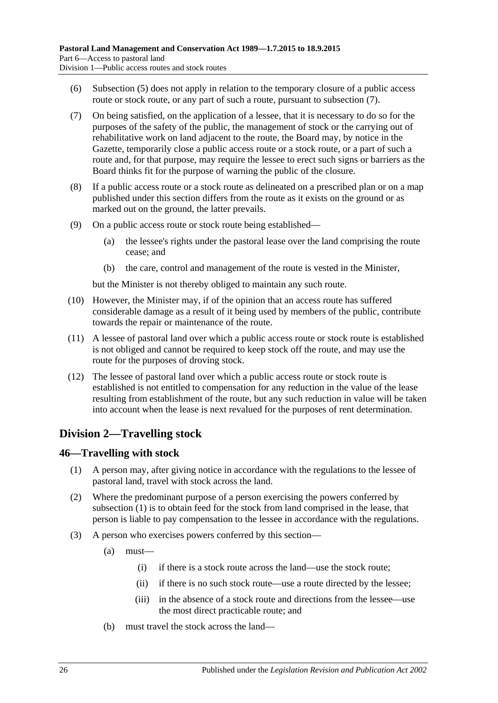- (6) [Subsection](#page-24-3) (5) does not apply in relation to the temporary closure of a public access route or stock route, or any part of such a route, pursuant to [subsection](#page-25-2)  $(7)$ .
- <span id="page-25-2"></span>(7) On being satisfied, on the application of a lessee, that it is necessary to do so for the purposes of the safety of the public, the management of stock or the carrying out of rehabilitative work on land adjacent to the route, the Board may, by notice in the Gazette, temporarily close a public access route or a stock route, or a part of such a route and, for that purpose, may require the lessee to erect such signs or barriers as the Board thinks fit for the purpose of warning the public of the closure.
- (8) If a public access route or a stock route as delineated on a prescribed plan or on a map published under this section differs from the route as it exists on the ground or as marked out on the ground, the latter prevails.
- (9) On a public access route or stock route being established—
	- (a) the lessee's rights under the pastoral lease over the land comprising the route cease; and
	- (b) the care, control and management of the route is vested in the Minister,

but the Minister is not thereby obliged to maintain any such route.

- (10) However, the Minister may, if of the opinion that an access route has suffered considerable damage as a result of it being used by members of the public, contribute towards the repair or maintenance of the route.
- (11) A lessee of pastoral land over which a public access route or stock route is established is not obliged and cannot be required to keep stock off the route, and may use the route for the purposes of droving stock.
- (12) The lessee of pastoral land over which a public access route or stock route is established is not entitled to compensation for any reduction in the value of the lease resulting from establishment of the route, but any such reduction in value will be taken into account when the lease is next revalued for the purposes of rent determination.

## <span id="page-25-0"></span>**Division 2—Travelling stock**

## <span id="page-25-3"></span><span id="page-25-1"></span>**46—Travelling with stock**

- (1) A person may, after giving notice in accordance with the regulations to the lessee of pastoral land, travel with stock across the land.
- (2) Where the predominant purpose of a person exercising the powers conferred by [subsection](#page-25-3) (1) is to obtain feed for the stock from land comprised in the lease, that person is liable to pay compensation to the lessee in accordance with the regulations.
- (3) A person who exercises powers conferred by this section—
	- (a) must—
		- (i) if there is a stock route across the land—use the stock route;
		- (ii) if there is no such stock route—use a route directed by the lessee;
		- (iii) in the absence of a stock route and directions from the lessee—use the most direct practicable route; and
	- (b) must travel the stock across the land—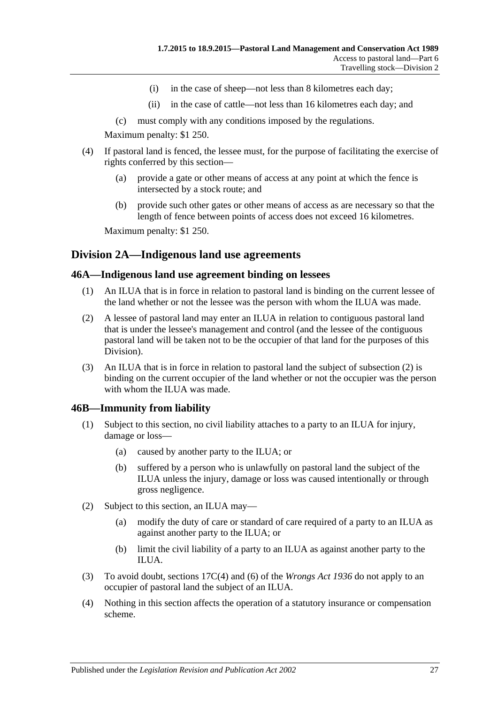- (i) in the case of sheep—not less than 8 kilometres each day;
- (ii) in the case of cattle—not less than 16 kilometres each day; and
- (c) must comply with any conditions imposed by the regulations.

Maximum penalty: \$1 250.

- (4) If pastoral land is fenced, the lessee must, for the purpose of facilitating the exercise of rights conferred by this section—
	- (a) provide a gate or other means of access at any point at which the fence is intersected by a stock route; and
	- (b) provide such other gates or other means of access as are necessary so that the length of fence between points of access does not exceed 16 kilometres.

Maximum penalty: \$1 250.

## <span id="page-26-0"></span>**Division 2A—Indigenous land use agreements**

#### <span id="page-26-1"></span>**46A—Indigenous land use agreement binding on lessees**

- (1) An ILUA that is in force in relation to pastoral land is binding on the current lessee of the land whether or not the lessee was the person with whom the ILUA was made.
- <span id="page-26-3"></span>(2) A lessee of pastoral land may enter an ILUA in relation to contiguous pastoral land that is under the lessee's management and control (and the lessee of the contiguous pastoral land will be taken not to be the occupier of that land for the purposes of this Division).
- (3) An ILUA that is in force in relation to pastoral land the subject of [subsection](#page-26-3) (2) is binding on the current occupier of the land whether or not the occupier was the person with whom the ILUA was made.

#### <span id="page-26-2"></span>**46B—Immunity from liability**

- (1) Subject to this section, no civil liability attaches to a party to an ILUA for injury, damage or loss—
	- (a) caused by another party to the ILUA; or
	- (b) suffered by a person who is unlawfully on pastoral land the subject of the ILUA unless the injury, damage or loss was caused intentionally or through gross negligence.
- (2) Subject to this section, an ILUA may—
	- (a) modify the duty of care or standard of care required of a party to an ILUA as against another party to the ILUA; or
	- (b) limit the civil liability of a party to an ILUA as against another party to the ILUA.
- (3) To avoid doubt, sections 17C(4) and (6) of the *[Wrongs Act](http://www.legislation.sa.gov.au/index.aspx?action=legref&type=act&legtitle=Wrongs%20Act%201936) 1936* do not apply to an occupier of pastoral land the subject of an ILUA.
- (4) Nothing in this section affects the operation of a statutory insurance or compensation scheme.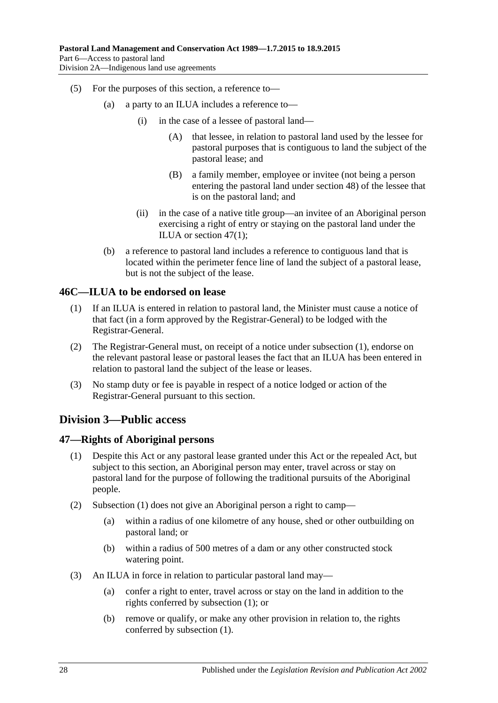- (5) For the purposes of this section, a reference to—
	- (a) a party to an ILUA includes a reference to—
		- (i) in the case of a lessee of pastoral land—
			- (A) that lessee, in relation to pastoral land used by the lessee for pastoral purposes that is contiguous to land the subject of the pastoral lease; and
			- (B) a family member, employee or invitee (not being a person entering the pastoral land under [section](#page-28-0) 48) of the lessee that is on the pastoral land; and
		- (ii) in the case of a native title group—an invitee of an Aboriginal person exercising a right of entry or staying on the pastoral land under the ILUA or [section](#page-27-3) 47(1);
	- (b) a reference to pastoral land includes a reference to contiguous land that is located within the perimeter fence line of land the subject of a pastoral lease, but is not the subject of the lease.

## <span id="page-27-4"></span><span id="page-27-0"></span>**46C—ILUA to be endorsed on lease**

- (1) If an ILUA is entered in relation to pastoral land, the Minister must cause a notice of that fact (in a form approved by the Registrar-General) to be lodged with the Registrar-General.
- (2) The Registrar-General must, on receipt of a notice under [subsection](#page-27-4) (1), endorse on the relevant pastoral lease or pastoral leases the fact that an ILUA has been entered in relation to pastoral land the subject of the lease or leases.
- (3) No stamp duty or fee is payable in respect of a notice lodged or action of the Registrar-General pursuant to this section.

## <span id="page-27-1"></span>**Division 3—Public access**

#### <span id="page-27-3"></span><span id="page-27-2"></span>**47—Rights of Aboriginal persons**

- (1) Despite this Act or any pastoral lease granted under this Act or the repealed Act, but subject to this section, an Aboriginal person may enter, travel across or stay on pastoral land for the purpose of following the traditional pursuits of the Aboriginal people.
- (2) [Subsection](#page-27-3) (1) does not give an Aboriginal person a right to camp—
	- (a) within a radius of one kilometre of any house, shed or other outbuilding on pastoral land; or
	- (b) within a radius of 500 metres of a dam or any other constructed stock watering point.
- (3) An ILUA in force in relation to particular pastoral land may—
	- (a) confer a right to enter, travel across or stay on the land in addition to the rights conferred by [subsection](#page-27-3) (1); or
	- (b) remove or qualify, or make any other provision in relation to, the rights conferred by [subsection](#page-27-3) (1).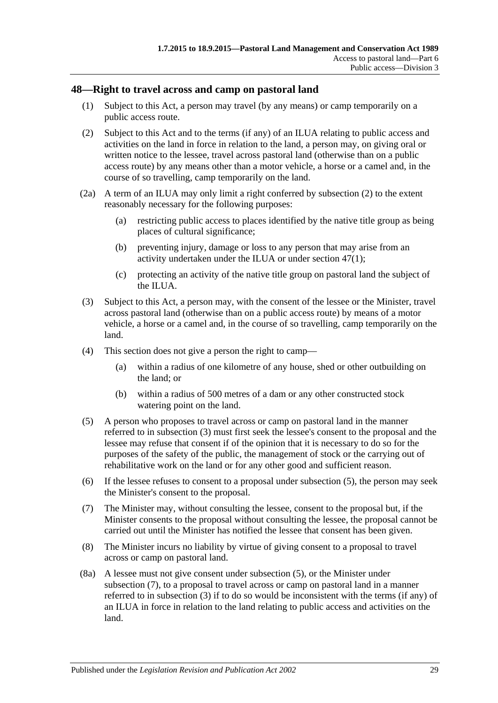## <span id="page-28-0"></span>**48—Right to travel across and camp on pastoral land**

- (1) Subject to this Act, a person may travel (by any means) or camp temporarily on a public access route.
- <span id="page-28-1"></span>(2) Subject to this Act and to the terms (if any) of an ILUA relating to public access and activities on the land in force in relation to the land, a person may, on giving oral or written notice to the lessee, travel across pastoral land (otherwise than on a public access route) by any means other than a motor vehicle, a horse or a camel and, in the course of so travelling, camp temporarily on the land.
- <span id="page-28-5"></span>(2a) A term of an ILUA may only limit a right conferred by [subsection](#page-28-1) (2) to the extent reasonably necessary for the following purposes:
	- (a) restricting public access to places identified by the native title group as being places of cultural significance;
	- (b) preventing injury, damage or loss to any person that may arise from an activity undertaken under the ILUA or under [section](#page-27-3) 47(1);
	- (c) protecting an activity of the native title group on pastoral land the subject of the ILUA.
- <span id="page-28-2"></span>(3) Subject to this Act, a person may, with the consent of the lessee or the Minister, travel across pastoral land (otherwise than on a public access route) by means of a motor vehicle, a horse or a camel and, in the course of so travelling, camp temporarily on the land.
- (4) This section does not give a person the right to camp—
	- (a) within a radius of one kilometre of any house, shed or other outbuilding on the land; or
	- (b) within a radius of 500 metres of a dam or any other constructed stock watering point on the land.
- <span id="page-28-3"></span>(5) A person who proposes to travel across or camp on pastoral land in the manner referred to in [subsection](#page-28-2) (3) must first seek the lessee's consent to the proposal and the lessee may refuse that consent if of the opinion that it is necessary to do so for the purposes of the safety of the public, the management of stock or the carrying out of rehabilitative work on the land or for any other good and sufficient reason.
- (6) If the lessee refuses to consent to a proposal under [subsection](#page-28-3) (5), the person may seek the Minister's consent to the proposal.
- <span id="page-28-4"></span>(7) The Minister may, without consulting the lessee, consent to the proposal but, if the Minister consents to the proposal without consulting the lessee, the proposal cannot be carried out until the Minister has notified the lessee that consent has been given.
- (8) The Minister incurs no liability by virtue of giving consent to a proposal to travel across or camp on pastoral land.
- (8a) A lessee must not give consent under [subsection](#page-28-3) (5), or the Minister under [subsection](#page-28-4) (7), to a proposal to travel across or camp on pastoral land in a manner referred to in [subsection](#page-28-2) (3) if to do so would be inconsistent with the terms (if any) of an ILUA in force in relation to the land relating to public access and activities on the land.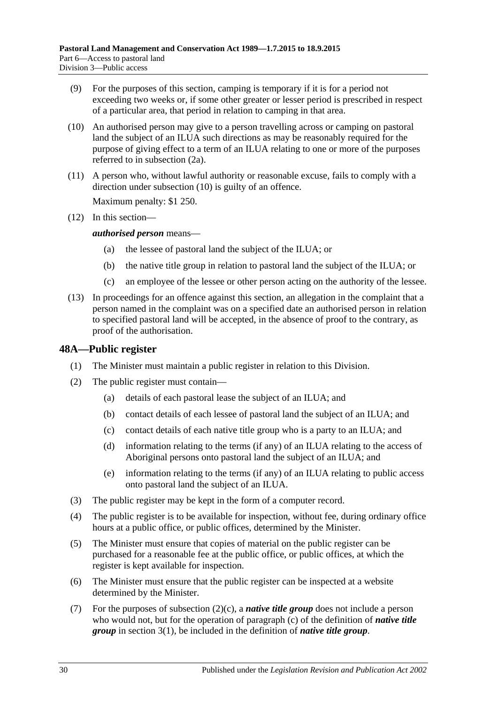- (9) For the purposes of this section, camping is temporary if it is for a period not exceeding two weeks or, if some other greater or lesser period is prescribed in respect of a particular area, that period in relation to camping in that area.
- <span id="page-29-1"></span>(10) An authorised person may give to a person travelling across or camping on pastoral land the subject of an ILUA such directions as may be reasonably required for the purpose of giving effect to a term of an ILUA relating to one or more of the purposes referred to in [subsection](#page-28-5) (2a).
- (11) A person who, without lawful authority or reasonable excuse, fails to comply with a direction under [subsection](#page-29-1) (10) is guilty of an offence.

Maximum penalty: \$1 250.

(12) In this section—

*authorised person* means—

- (a) the lessee of pastoral land the subject of the ILUA; or
- (b) the native title group in relation to pastoral land the subject of the ILUA; or
- (c) an employee of the lessee or other person acting on the authority of the lessee.
- (13) In proceedings for an offence against this section, an allegation in the complaint that a person named in the complaint was on a specified date an authorised person in relation to specified pastoral land will be accepted, in the absence of proof to the contrary, as proof of the authorisation.

## <span id="page-29-0"></span>**48A—Public register**

- (1) The Minister must maintain a public register in relation to this Division.
- <span id="page-29-2"></span>(2) The public register must contain—
	- (a) details of each pastoral lease the subject of an ILUA; and
	- (b) contact details of each lessee of pastoral land the subject of an ILUA; and
	- (c) contact details of each native title group who is a party to an ILUA; and
	- (d) information relating to the terms (if any) of an ILUA relating to the access of Aboriginal persons onto pastoral land the subject of an ILUA; and
	- (e) information relating to the terms (if any) of an ILUA relating to public access onto pastoral land the subject of an ILUA.
- (3) The public register may be kept in the form of a computer record.
- (4) The public register is to be available for inspection, without fee, during ordinary office hours at a public office, or public offices, determined by the Minister.
- (5) The Minister must ensure that copies of material on the public register can be purchased for a reasonable fee at the public office, or public offices, at which the register is kept available for inspection.
- (6) The Minister must ensure that the public register can be inspected at a website determined by the Minister.
- (7) For the purposes of [subsection](#page-29-2) (2)(c), a *native title group* does not include a person who would not, but for the operation of [paragraph](#page-3-0) (c) of the definition of *native title group* in [section](#page-2-3) 3(1), be included in the definition of *native title group*.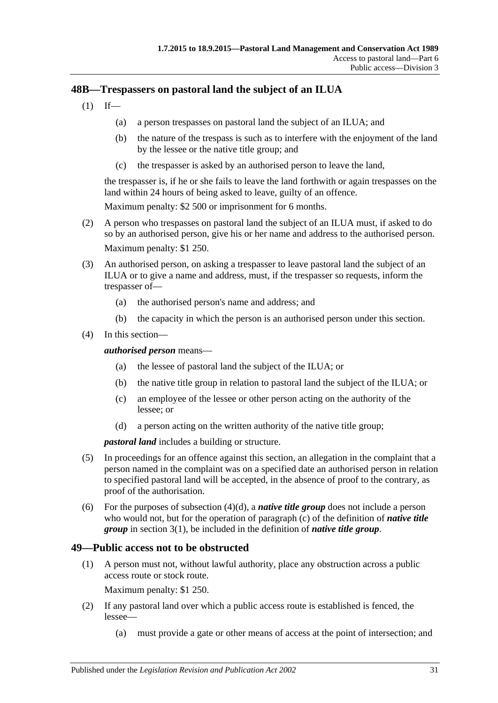## <span id="page-30-0"></span>**48B—Trespassers on pastoral land the subject of an ILUA**

- $(1)$  If—
	- (a) a person trespasses on pastoral land the subject of an ILUA; and
	- (b) the nature of the trespass is such as to interfere with the enjoyment of the land by the lessee or the native title group; and
	- (c) the trespasser is asked by an authorised person to leave the land,

the trespasser is, if he or she fails to leave the land forthwith or again trespasses on the land within 24 hours of being asked to leave, guilty of an offence.

Maximum penalty: \$2 500 or imprisonment for 6 months.

- (2) A person who trespasses on pastoral land the subject of an ILUA must, if asked to do so by an authorised person, give his or her name and address to the authorised person. Maximum penalty: \$1 250.
- (3) An authorised person, on asking a trespasser to leave pastoral land the subject of an ILUA or to give a name and address, must, if the trespasser so requests, inform the trespasser of—
	- (a) the authorised person's name and address; and
	- (b) the capacity in which the person is an authorised person under this section.
- (4) In this section—

*authorised person* means—

- (a) the lessee of pastoral land the subject of the ILUA; or
- (b) the native title group in relation to pastoral land the subject of the ILUA; or
- (c) an employee of the lessee or other person acting on the authority of the lessee; or
- (d) a person acting on the written authority of the native title group;

*pastoral land* includes a building or structure.

- <span id="page-30-2"></span>(5) In proceedings for an offence against this section, an allegation in the complaint that a person named in the complaint was on a specified date an authorised person in relation to specified pastoral land will be accepted, in the absence of proof to the contrary, as proof of the authorisation.
- (6) For the purposes of [subsection](#page-30-2)  $(4)(d)$ , a *native title group* does not include a person who would not, but for the operation of [paragraph](#page-3-0) (c) of the definition of *native title group* in [section](#page-2-3) 3(1), be included in the definition of *native title group*.

## <span id="page-30-1"></span>**49—Public access not to be obstructed**

(1) A person must not, without lawful authority, place any obstruction across a public access route or stock route.

Maximum penalty: \$1 250.

- (2) If any pastoral land over which a public access route is established is fenced, the lessee—
	- (a) must provide a gate or other means of access at the point of intersection; and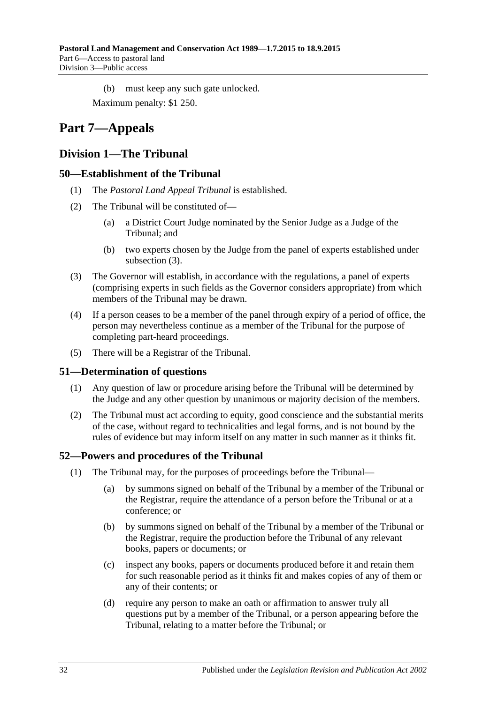(b) must keep any such gate unlocked.

Maximum penalty: \$1 250.

# <span id="page-31-0"></span>**Part 7—Appeals**

## <span id="page-31-1"></span>**Division 1—The Tribunal**

## <span id="page-31-2"></span>**50—Establishment of the Tribunal**

- (1) The *Pastoral Land Appeal Tribunal* is established.
- (2) The Tribunal will be constituted of—
	- (a) a District Court Judge nominated by the Senior Judge as a Judge of the Tribunal; and
	- (b) two experts chosen by the Judge from the panel of experts established under [subsection](#page-31-5) (3).
- <span id="page-31-5"></span>(3) The Governor will establish, in accordance with the regulations, a panel of experts (comprising experts in such fields as the Governor considers appropriate) from which members of the Tribunal may be drawn.
- (4) If a person ceases to be a member of the panel through expiry of a period of office, the person may nevertheless continue as a member of the Tribunal for the purpose of completing part-heard proceedings.
- (5) There will be a Registrar of the Tribunal.

## <span id="page-31-3"></span>**51—Determination of questions**

- (1) Any question of law or procedure arising before the Tribunal will be determined by the Judge and any other question by unanimous or majority decision of the members.
- (2) The Tribunal must act according to equity, good conscience and the substantial merits of the case, without regard to technicalities and legal forms, and is not bound by the rules of evidence but may inform itself on any matter in such manner as it thinks fit.

## <span id="page-31-4"></span>**52—Powers and procedures of the Tribunal**

- (1) The Tribunal may, for the purposes of proceedings before the Tribunal—
	- (a) by summons signed on behalf of the Tribunal by a member of the Tribunal or the Registrar, require the attendance of a person before the Tribunal or at a conference; or
	- (b) by summons signed on behalf of the Tribunal by a member of the Tribunal or the Registrar, require the production before the Tribunal of any relevant books, papers or documents; or
	- (c) inspect any books, papers or documents produced before it and retain them for such reasonable period as it thinks fit and makes copies of any of them or any of their contents; or
	- (d) require any person to make an oath or affirmation to answer truly all questions put by a member of the Tribunal, or a person appearing before the Tribunal, relating to a matter before the Tribunal; or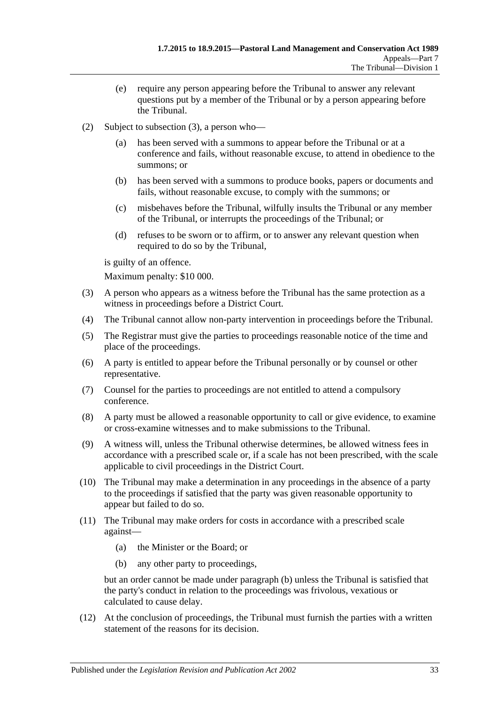- (e) require any person appearing before the Tribunal to answer any relevant questions put by a member of the Tribunal or by a person appearing before the Tribunal.
- (2) Subject to [subsection](#page-32-0) (3), a person who
	- has been served with a summons to appear before the Tribunal or at a conference and fails, without reasonable excuse, to attend in obedience to the summons; or
	- (b) has been served with a summons to produce books, papers or documents and fails, without reasonable excuse, to comply with the summons; or
	- (c) misbehaves before the Tribunal, wilfully insults the Tribunal or any member of the Tribunal, or interrupts the proceedings of the Tribunal; or
	- (d) refuses to be sworn or to affirm, or to answer any relevant question when required to do so by the Tribunal,

is guilty of an offence.

Maximum penalty: \$10 000.

- <span id="page-32-0"></span>(3) A person who appears as a witness before the Tribunal has the same protection as a witness in proceedings before a District Court.
- (4) The Tribunal cannot allow non-party intervention in proceedings before the Tribunal.
- (5) The Registrar must give the parties to proceedings reasonable notice of the time and place of the proceedings.
- (6) A party is entitled to appear before the Tribunal personally or by counsel or other representative.
- (7) Counsel for the parties to proceedings are not entitled to attend a compulsory conference.
- (8) A party must be allowed a reasonable opportunity to call or give evidence, to examine or cross-examine witnesses and to make submissions to the Tribunal.
- (9) A witness will, unless the Tribunal otherwise determines, be allowed witness fees in accordance with a prescribed scale or, if a scale has not been prescribed, with the scale applicable to civil proceedings in the District Court.
- (10) The Tribunal may make a determination in any proceedings in the absence of a party to the proceedings if satisfied that the party was given reasonable opportunity to appear but failed to do so.
- <span id="page-32-1"></span>(11) The Tribunal may make orders for costs in accordance with a prescribed scale against—
	- (a) the Minister or the Board; or
	- (b) any other party to proceedings,

but an order cannot be made under [paragraph](#page-32-1) (b) unless the Tribunal is satisfied that the party's conduct in relation to the proceedings was frivolous, vexatious or calculated to cause delay.

(12) At the conclusion of proceedings, the Tribunal must furnish the parties with a written statement of the reasons for its decision.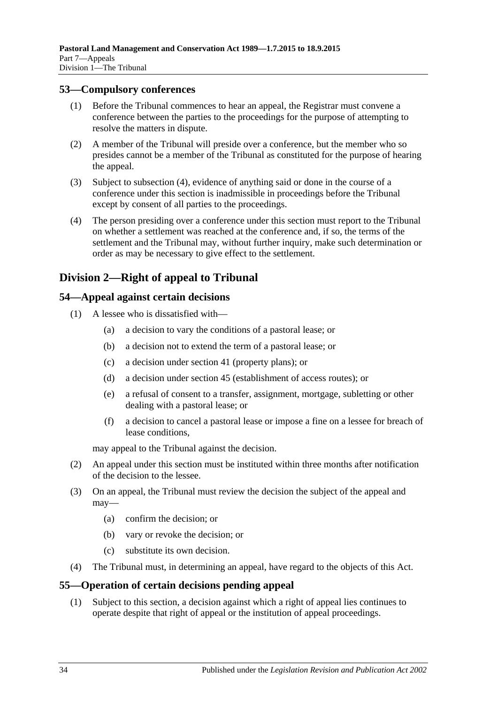#### <span id="page-33-0"></span>**53—Compulsory conferences**

- (1) Before the Tribunal commences to hear an appeal, the Registrar must convene a conference between the parties to the proceedings for the purpose of attempting to resolve the matters in dispute.
- (2) A member of the Tribunal will preside over a conference, but the member who so presides cannot be a member of the Tribunal as constituted for the purpose of hearing the appeal.
- (3) Subject to [subsection](#page-33-4) (4), evidence of anything said or done in the course of a conference under this section is inadmissible in proceedings before the Tribunal except by consent of all parties to the proceedings.
- <span id="page-33-4"></span>(4) The person presiding over a conference under this section must report to the Tribunal on whether a settlement was reached at the conference and, if so, the terms of the settlement and the Tribunal may, without further inquiry, make such determination or order as may be necessary to give effect to the settlement.

## <span id="page-33-1"></span>**Division 2—Right of appeal to Tribunal**

#### <span id="page-33-2"></span>**54—Appeal against certain decisions**

- (1) A lessee who is dissatisfied with—
	- (a) a decision to vary the conditions of a pastoral lease; or
	- (b) a decision not to extend the term of a pastoral lease; or
	- (c) a decision under [section](#page-21-2) 41 (property plans); or
	- (d) a decision under [section](#page-24-2) 45 (establishment of access routes); or
	- (e) a refusal of consent to a transfer, assignment, mortgage, subletting or other dealing with a pastoral lease; or
	- (f) a decision to cancel a pastoral lease or impose a fine on a lessee for breach of lease conditions,

may appeal to the Tribunal against the decision.

- (2) An appeal under this section must be instituted within three months after notification of the decision to the lessee.
- (3) On an appeal, the Tribunal must review the decision the subject of the appeal and may—
	- (a) confirm the decision; or
	- (b) vary or revoke the decision; or
	- (c) substitute its own decision.
- (4) The Tribunal must, in determining an appeal, have regard to the objects of this Act.

## <span id="page-33-3"></span>**55—Operation of certain decisions pending appeal**

(1) Subject to this section, a decision against which a right of appeal lies continues to operate despite that right of appeal or the institution of appeal proceedings.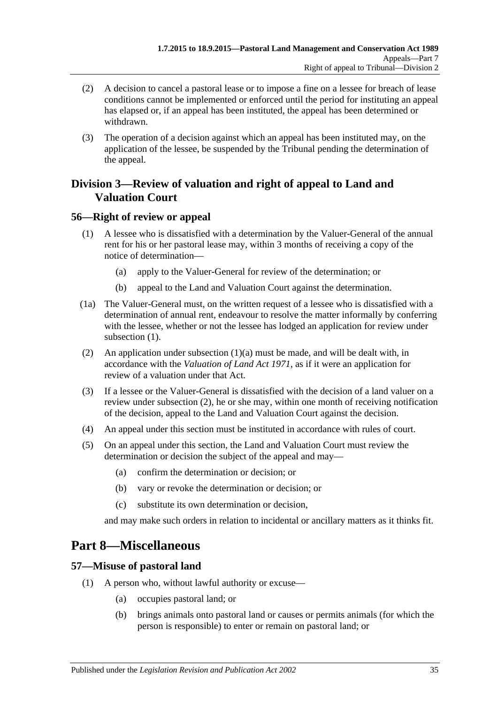- (2) A decision to cancel a pastoral lease or to impose a fine on a lessee for breach of lease conditions cannot be implemented or enforced until the period for instituting an appeal has elapsed or, if an appeal has been instituted, the appeal has been determined or withdrawn.
- (3) The operation of a decision against which an appeal has been instituted may, on the application of the lessee, be suspended by the Tribunal pending the determination of the appeal.

## <span id="page-34-0"></span>**Division 3—Review of valuation and right of appeal to Land and Valuation Court**

## <span id="page-34-4"></span><span id="page-34-1"></span>**56—Right of review or appeal**

- <span id="page-34-5"></span>(1) A lessee who is dissatisfied with a determination by the Valuer-General of the annual rent for his or her pastoral lease may, within 3 months of receiving a copy of the notice of determination—
	- (a) apply to the Valuer-General for review of the determination; or
	- (b) appeal to the Land and Valuation Court against the determination.
- (1a) The Valuer-General must, on the written request of a lessee who is dissatisfied with a determination of annual rent, endeavour to resolve the matter informally by conferring with the lessee, whether or not the lessee has lodged an application for review under [subsection](#page-34-4)  $(1)$ .
- <span id="page-34-6"></span>(2) An application under [subsection](#page-34-5) (1)(a) must be made, and will be dealt with, in accordance with the *[Valuation of Land Act](http://www.legislation.sa.gov.au/index.aspx?action=legref&type=act&legtitle=Valuation%20of%20Land%20Act%201971) 1971*, as if it were an application for review of a valuation under that Act.
- (3) If a lessee or the Valuer-General is dissatisfied with the decision of a land valuer on a review under [subsection](#page-34-6) (2), he or she may, within one month of receiving notification of the decision, appeal to the Land and Valuation Court against the decision.
- (4) An appeal under this section must be instituted in accordance with rules of court.
- (5) On an appeal under this section, the Land and Valuation Court must review the determination or decision the subject of the appeal and may—
	- (a) confirm the determination or decision; or
	- (b) vary or revoke the determination or decision; or
	- (c) substitute its own determination or decision,

and may make such orders in relation to incidental or ancillary matters as it thinks fit.

# <span id="page-34-2"></span>**Part 8—Miscellaneous**

## <span id="page-34-7"></span><span id="page-34-3"></span>**57—Misuse of pastoral land**

- (1) A person who, without lawful authority or excuse—
	- (a) occupies pastoral land; or
	- (b) brings animals onto pastoral land or causes or permits animals (for which the person is responsible) to enter or remain on pastoral land; or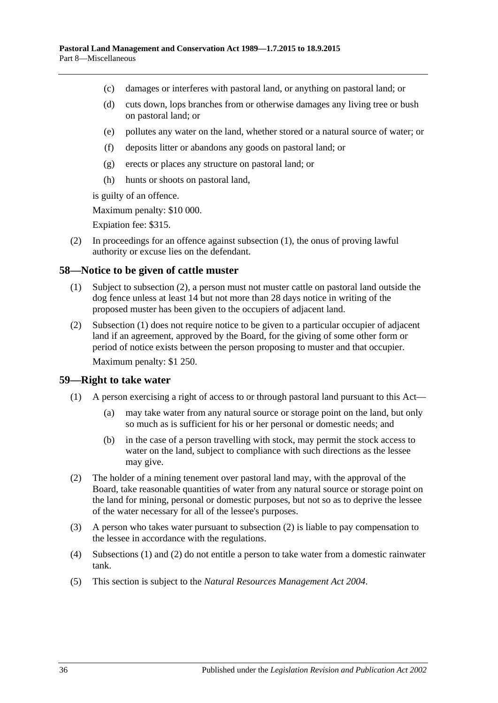- (c) damages or interferes with pastoral land, or anything on pastoral land; or
- (d) cuts down, lops branches from or otherwise damages any living tree or bush on pastoral land; or
- (e) pollutes any water on the land, whether stored or a natural source of water; or
- (f) deposits litter or abandons any goods on pastoral land; or
- (g) erects or places any structure on pastoral land; or
- (h) hunts or shoots on pastoral land,

is guilty of an offence.

Maximum penalty: \$10 000.

Expiation fee: \$315.

(2) In proceedings for an offence against [subsection](#page-34-7) (1), the onus of proving lawful authority or excuse lies on the defendant.

#### <span id="page-35-3"></span><span id="page-35-0"></span>**58—Notice to be given of cattle muster**

- (1) Subject to [subsection](#page-35-2) (2), a person must not muster cattle on pastoral land outside the dog fence unless at least 14 but not more than 28 days notice in writing of the proposed muster has been given to the occupiers of adjacent land.
- <span id="page-35-2"></span>(2) [Subsection](#page-35-3) (1) does not require notice to be given to a particular occupier of adjacent land if an agreement, approved by the Board, for the giving of some other form or period of notice exists between the person proposing to muster and that occupier. Maximum penalty: \$1 250.

#### <span id="page-35-5"></span><span id="page-35-1"></span>**59—Right to take water**

- (1) A person exercising a right of access to or through pastoral land pursuant to this Act—
	- (a) may take water from any natural source or storage point on the land, but only so much as is sufficient for his or her personal or domestic needs; and
	- (b) in the case of a person travelling with stock, may permit the stock access to water on the land, subject to compliance with such directions as the lessee may give.
- <span id="page-35-4"></span>(2) The holder of a mining tenement over pastoral land may, with the approval of the Board, take reasonable quantities of water from any natural source or storage point on the land for mining, personal or domestic purposes, but not so as to deprive the lessee of the water necessary for all of the lessee's purposes.
- (3) A person who takes water pursuant to [subsection](#page-35-4) (2) is liable to pay compensation to the lessee in accordance with the regulations.
- (4) [Subsections](#page-35-5) (1) and [\(2\)](#page-35-4) do not entitle a person to take water from a domestic rainwater tank.
- (5) This section is subject to the *[Natural Resources Management Act](http://www.legislation.sa.gov.au/index.aspx?action=legref&type=act&legtitle=Natural%20Resources%20Management%20Act%202004) 2004*.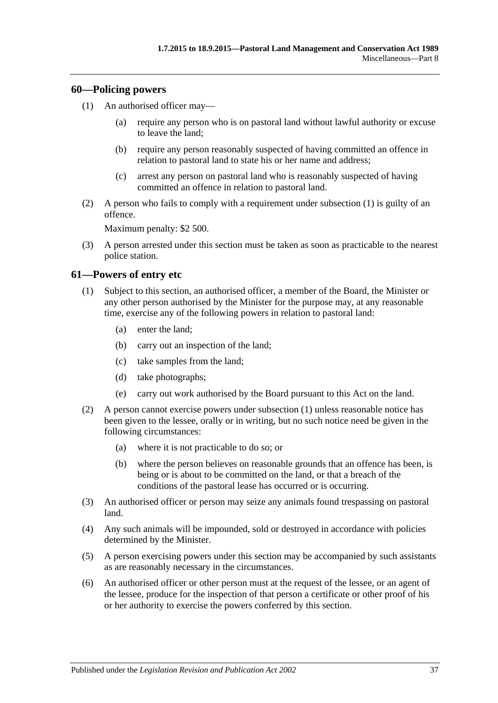#### <span id="page-36-2"></span><span id="page-36-0"></span>**60—Policing powers**

- (1) An authorised officer may—
	- (a) require any person who is on pastoral land without lawful authority or excuse to leave the land;
	- (b) require any person reasonably suspected of having committed an offence in relation to pastoral land to state his or her name and address;
	- (c) arrest any person on pastoral land who is reasonably suspected of having committed an offence in relation to pastoral land.
- (2) A person who fails to comply with a requirement under [subsection](#page-36-2) (1) is guilty of an offence.

Maximum penalty: \$2 500.

(3) A person arrested under this section must be taken as soon as practicable to the nearest police station.

#### <span id="page-36-3"></span><span id="page-36-1"></span>**61—Powers of entry etc**

- (1) Subject to this section, an authorised officer, a member of the Board, the Minister or any other person authorised by the Minister for the purpose may, at any reasonable time, exercise any of the following powers in relation to pastoral land:
	- (a) enter the land;
	- (b) carry out an inspection of the land;
	- (c) take samples from the land;
	- (d) take photographs;
	- (e) carry out work authorised by the Board pursuant to this Act on the land.
- (2) A person cannot exercise powers under [subsection](#page-36-3) (1) unless reasonable notice has been given to the lessee, orally or in writing, but no such notice need be given in the following circumstances:
	- (a) where it is not practicable to do so; or
	- (b) where the person believes on reasonable grounds that an offence has been, is being or is about to be committed on the land, or that a breach of the conditions of the pastoral lease has occurred or is occurring.
- (3) An authorised officer or person may seize any animals found trespassing on pastoral land.
- (4) Any such animals will be impounded, sold or destroyed in accordance with policies determined by the Minister.
- (5) A person exercising powers under this section may be accompanied by such assistants as are reasonably necessary in the circumstances.
- (6) An authorised officer or other person must at the request of the lessee, or an agent of the lessee, produce for the inspection of that person a certificate or other proof of his or her authority to exercise the powers conferred by this section.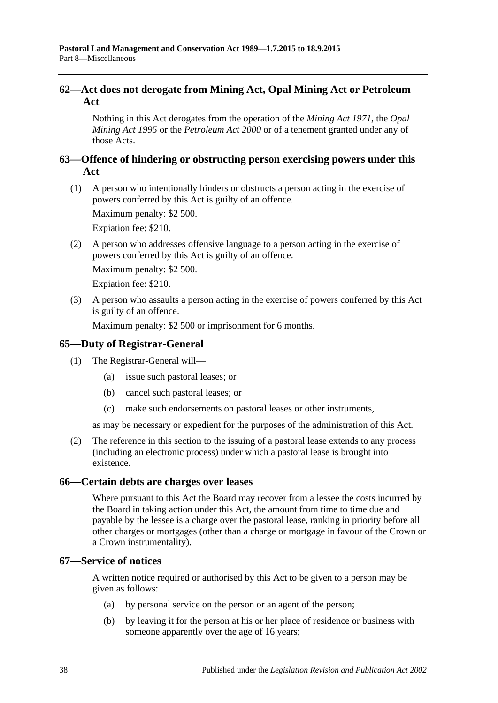## <span id="page-37-0"></span>**62—Act does not derogate from Mining Act, Opal Mining Act or Petroleum Act**

Nothing in this Act derogates from the operation of the *[Mining Act](http://www.legislation.sa.gov.au/index.aspx?action=legref&type=act&legtitle=Mining%20Act%201971) 1971*, the *[Opal](http://www.legislation.sa.gov.au/index.aspx?action=legref&type=act&legtitle=Opal%20Mining%20Act%201995)  [Mining Act](http://www.legislation.sa.gov.au/index.aspx?action=legref&type=act&legtitle=Opal%20Mining%20Act%201995) 1995* or the *[Petroleum Act](http://www.legislation.sa.gov.au/index.aspx?action=legref&type=act&legtitle=Petroleum%20Act%202000) 2000* or of a tenement granted under any of those Acts.

## <span id="page-37-1"></span>**63—Offence of hindering or obstructing person exercising powers under this Act**

(1) A person who intentionally hinders or obstructs a person acting in the exercise of powers conferred by this Act is guilty of an offence.

Maximum penalty: \$2 500.

Expiation fee: \$210.

(2) A person who addresses offensive language to a person acting in the exercise of powers conferred by this Act is guilty of an offence.

Maximum penalty: \$2 500.

Expiation fee: \$210.

(3) A person who assaults a person acting in the exercise of powers conferred by this Act is guilty of an offence.

Maximum penalty: \$2 500 or imprisonment for 6 months.

## <span id="page-37-2"></span>**65—Duty of Registrar-General**

- (1) The Registrar-General will—
	- (a) issue such pastoral leases; or
	- (b) cancel such pastoral leases; or
	- (c) make such endorsements on pastoral leases or other instruments,

as may be necessary or expedient for the purposes of the administration of this Act.

(2) The reference in this section to the issuing of a pastoral lease extends to any process (including an electronic process) under which a pastoral lease is brought into existence.

#### <span id="page-37-3"></span>**66—Certain debts are charges over leases**

Where pursuant to this Act the Board may recover from a lessee the costs incurred by the Board in taking action under this Act, the amount from time to time due and payable by the lessee is a charge over the pastoral lease, ranking in priority before all other charges or mortgages (other than a charge or mortgage in favour of the Crown or a Crown instrumentality).

#### <span id="page-37-4"></span>**67—Service of notices**

A written notice required or authorised by this Act to be given to a person may be given as follows:

- (a) by personal service on the person or an agent of the person;
- (b) by leaving it for the person at his or her place of residence or business with someone apparently over the age of 16 years;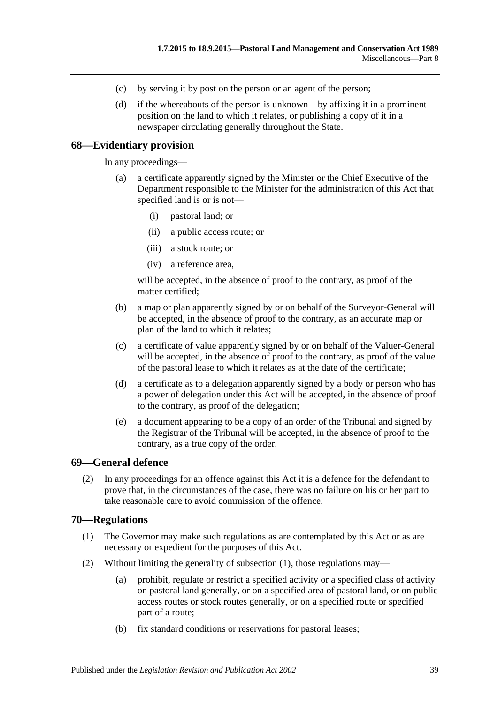- (c) by serving it by post on the person or an agent of the person;
- (d) if the whereabouts of the person is unknown—by affixing it in a prominent position on the land to which it relates, or publishing a copy of it in a newspaper circulating generally throughout the State.

#### <span id="page-38-0"></span>**68—Evidentiary provision**

In any proceedings—

- (a) a certificate apparently signed by the Minister or the Chief Executive of the Department responsible to the Minister for the administration of this Act that specified land is or is not—
	- (i) pastoral land; or
	- (ii) a public access route; or
	- (iii) a stock route; or
	- (iv) a reference area,

will be accepted, in the absence of proof to the contrary, as proof of the matter certified;

- (b) a map or plan apparently signed by or on behalf of the Surveyor-General will be accepted, in the absence of proof to the contrary, as an accurate map or plan of the land to which it relates;
- (c) a certificate of value apparently signed by or on behalf of the Valuer-General will be accepted, in the absence of proof to the contrary, as proof of the value of the pastoral lease to which it relates as at the date of the certificate;
- (d) a certificate as to a delegation apparently signed by a body or person who has a power of delegation under this Act will be accepted, in the absence of proof to the contrary, as proof of the delegation;
- (e) a document appearing to be a copy of an order of the Tribunal and signed by the Registrar of the Tribunal will be accepted, in the absence of proof to the contrary, as a true copy of the order.

#### <span id="page-38-1"></span>**69—General defence**

(2) In any proceedings for an offence against this Act it is a defence for the defendant to prove that, in the circumstances of the case, there was no failure on his or her part to take reasonable care to avoid commission of the offence.

#### <span id="page-38-3"></span><span id="page-38-2"></span>**70—Regulations**

- (1) The Governor may make such regulations as are contemplated by this Act or as are necessary or expedient for the purposes of this Act.
- (2) Without limiting the generality of [subsection](#page-38-3) (1), those regulations may—
	- (a) prohibit, regulate or restrict a specified activity or a specified class of activity on pastoral land generally, or on a specified area of pastoral land, or on public access routes or stock routes generally, or on a specified route or specified part of a route;
	- (b) fix standard conditions or reservations for pastoral leases;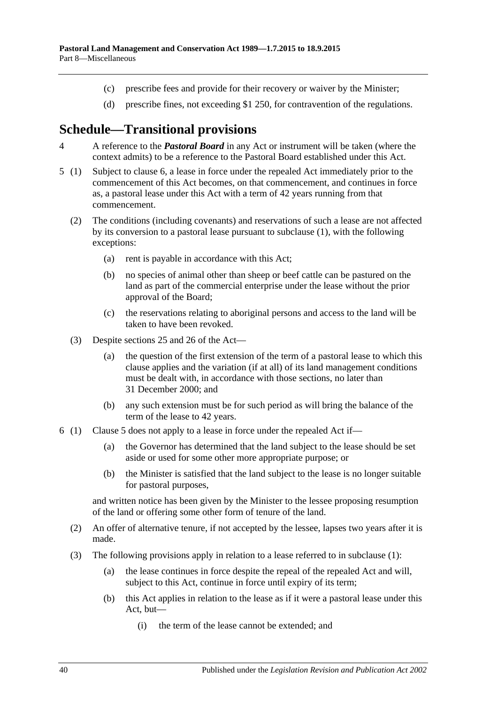- (c) prescribe fees and provide for their recovery or waiver by the Minister;
- (d) prescribe fines, not exceeding \$1 250, for contravention of the regulations.

# <span id="page-39-0"></span>**Schedule—Transitional provisions**

- 4 A reference to the *Pastoral Board* in any Act or instrument will be taken (where the context admits) to be a reference to the Pastoral Board established under this Act.
- <span id="page-39-2"></span>5 (1) Subject to [clause](#page-39-1) 6, a lease in force under the repealed Act immediately prior to the commencement of this Act becomes, on that commencement, and continues in force as, a pastoral lease under this Act with a term of 42 years running from that commencement.
	- (2) The conditions (including covenants) and reservations of such a lease are not affected by its conversion to a pastoral lease pursuant to subclause (1), with the following exceptions:
		- (a) rent is payable in accordance with this Act;
		- (b) no species of animal other than sheep or beef cattle can be pastured on the land as part of the commercial enterprise under the lease without the prior approval of the Board;
		- (c) the reservations relating to aboriginal persons and access to the land will be taken to have been revoked.
	- (3) Despite [sections](#page-14-0) 25 and [26](#page-16-0) of the Act—
		- (a) the question of the first extension of the term of a pastoral lease to which this clause applies and the variation (if at all) of its land management conditions must be dealt with, in accordance with those sections, no later than 31 December 2000; and
		- (b) any such extension must be for such period as will bring the balance of the term of the lease to 42 years.
- <span id="page-39-1"></span>6 (1) [Clause](#page-39-2) 5 does not apply to a lease in force under the repealed Act if—
	- (a) the Governor has determined that the land subject to the lease should be set aside or used for some other more appropriate purpose; or
	- (b) the Minister is satisfied that the land subject to the lease is no longer suitable for pastoral purposes,

and written notice has been given by the Minister to the lessee proposing resumption of the land or offering some other form of tenure of the land.

- (2) An offer of alternative tenure, if not accepted by the lessee, lapses two years after it is made.
- (3) The following provisions apply in relation to a lease referred to in subclause (1):
	- (a) the lease continues in force despite the repeal of the repealed Act and will, subject to this Act, continue in force until expiry of its term;
	- (b) this Act applies in relation to the lease as if it were a pastoral lease under this Act, but—
		- (i) the term of the lease cannot be extended; and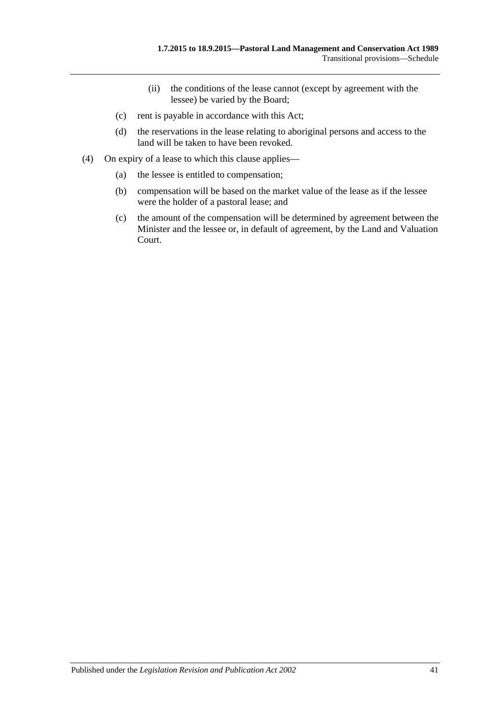- (ii) the conditions of the lease cannot (except by agreement with the lessee) be varied by the Board;
- (c) rent is payable in accordance with this Act;
- (d) the reservations in the lease relating to aboriginal persons and access to the land will be taken to have been revoked.
- (4) On expiry of a lease to which this clause applies—
	- (a) the lessee is entitled to compensation;
	- (b) compensation will be based on the market value of the lease as if the lessee were the holder of a pastoral lease; and
	- (c) the amount of the compensation will be determined by agreement between the Minister and the lessee or, in default of agreement, by the Land and Valuation Court.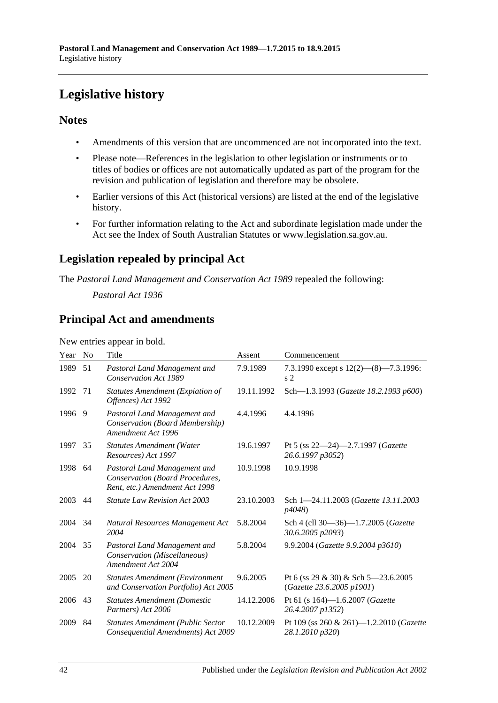# <span id="page-41-0"></span>**Legislative history**

## **Notes**

- Amendments of this version that are uncommenced are not incorporated into the text.
- Please note—References in the legislation to other legislation or instruments or to titles of bodies or offices are not automatically updated as part of the program for the revision and publication of legislation and therefore may be obsolete.
- Earlier versions of this Act (historical versions) are listed at the end of the legislative history.
- For further information relating to the Act and subordinate legislation made under the Act see the Index of South Australian Statutes or www.legislation.sa.gov.au.

## **Legislation repealed by principal Act**

The *Pastoral Land Management and Conservation Act 1989* repealed the following:

*Pastoral Act 1936*

## **Principal Act and amendments**

New entries appear in bold.

| Year | N <sub>0</sub> | Title                                                                                             | Assent     | Commencement                                                     |
|------|----------------|---------------------------------------------------------------------------------------------------|------------|------------------------------------------------------------------|
| 1989 | 51             | Pastoral Land Management and<br><b>Conservation Act 1989</b>                                      | 7.9.1989   | 7.3.1990 except s $12(2)$ — $(8)$ —7.3.1996:<br>s <sub>2</sub>   |
| 1992 | 71             | <b>Statutes Amendment (Expiation of</b><br>Offences) Act 1992                                     | 19.11.1992 | Sch-1.3.1993 (Gazette 18.2.1993 p600)                            |
| 1996 | 9              | Pastoral Land Management and<br>Conservation (Board Membership)<br>Amendment Act 1996             | 4.4.1996   | 4.4.1996                                                         |
| 1997 | 35             | <b>Statutes Amendment (Water</b><br>Resources) Act 1997                                           | 19.6.1997  | Pt 5 (ss $22-24$ )-2.7.1997 ( <i>Gazette</i><br>26.6.1997 p3052) |
| 1998 | 64             | Pastoral Land Management and<br>Conservation (Board Procedures,<br>Rent, etc.) Amendment Act 1998 | 10.9.1998  | 10.9.1998                                                        |
| 2003 | 44             | <b>Statute Law Revision Act 2003</b>                                                              | 23.10.2003 | Sch 1-24.11.2003 (Gazette 13.11.2003<br>p4048)                   |
| 2004 | 34             | Natural Resources Management Act<br>2004                                                          | 5.8.2004   | Sch 4 (cll 30-36)-1.7.2005 (Gazette<br>30.6.2005 p2093)          |
| 2004 | 35             | Pastoral Land Management and<br>Conservation (Miscellaneous)<br>Amendment Act 2004                | 5.8.2004   | 9.9.2004 (Gazette 9.9.2004 p3610)                                |
| 2005 | 20             | <b>Statutes Amendment (Environment</b><br>and Conservation Portfolio) Act 2005                    | 9.6.2005   | Pt 6 (ss 29 & 30) & Sch 5–23.6.2005<br>(Gazette 23.6.2005 p1901) |
| 2006 | 43             | <b>Statutes Amendment (Domestic</b><br>Partners) Act 2006                                         | 14.12.2006 | Pt 61 (s 164)-1.6.2007 (Gazette<br>26.4.2007 p1352)              |
| 2009 | 84             | <b>Statutes Amendment (Public Sector</b><br>Consequential Amendments) Act 2009                    | 10.12.2009 | Pt 109 (ss 260 & 261)-1.2.2010 (Gazette<br>28.1.2010 p320)       |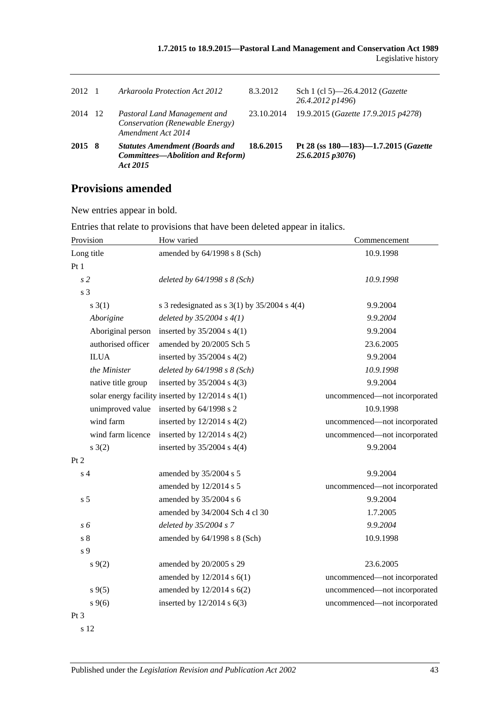| 2012    | - 1 | Arkaroola Protection Act 2012                                                                | 8.3.2012   | Sch 1 (cl 5)—26.4.2012 ( <i>Gazette</i><br>26.4.2012 p1496)      |
|---------|-----|----------------------------------------------------------------------------------------------|------------|------------------------------------------------------------------|
| 2014 12 |     | Pastoral Land Management and<br>Conservation (Renewable Energy)<br>Amendment Act 2014        | 23.10.2014 | 19.9.2015 (Gazette 17.9.2015 p4278)                              |
| 2015 8  |     | <b>Statutes Amendment (Boards and</b><br><b>Committees—Abolition and Reform)</b><br>Act 2015 | 18.6.2015  | Pt 28 (ss $180 - 183$ ) $-1.7.2015$ (Gazette<br>25.6.2015 p3076) |

## **Provisions amended**

New entries appear in bold.

| Provision          | How varied                                         | Commencement                 |  |
|--------------------|----------------------------------------------------|------------------------------|--|
| Long title         | amended by $64/1998$ s $8$ (Sch)                   | 10.9.1998                    |  |
| Pt 1               |                                                    |                              |  |
| s <sub>2</sub>     | deleted by $64/1998 s 8 (Sch)$                     | 10.9.1998                    |  |
| s 3                |                                                    |                              |  |
| $s \; 3(1)$        | s 3 redesignated as s $3(1)$ by $35/2004$ s $4(4)$ | 9.9.2004                     |  |
| Aborigine          | deleted by $35/2004 s 4(1)$                        | 9.9.2004                     |  |
| Aboriginal person  | inserted by 35/2004 s 4(1)                         | 9.9.2004                     |  |
| authorised officer | amended by 20/2005 Sch 5                           | 23.6.2005                    |  |
| <b>ILUA</b>        | inserted by $35/2004$ s $4(2)$                     | 9.9.2004                     |  |
| the Minister       | deleted by $64/1998 s 8$ (Sch)                     | 10.9.1998                    |  |
| native title group | inserted by $35/2004$ s $4(3)$                     | 9.9.2004                     |  |
|                    | solar energy facility inserted by 12/2014 s 4(1)   | uncommenced-not incorporated |  |
| unimproved value   | inserted by 64/1998 s 2                            | 10.9.1998                    |  |
| wind farm          | inserted by $12/2014$ s $4(2)$                     | uncommenced-not incorporated |  |
| wind farm licence  | inserted by $12/2014$ s $4(2)$                     | uncommenced-not incorporated |  |
| $s \; 3(2)$        | inserted by $35/2004$ s $4(4)$                     | 9.9.2004                     |  |
| Pt 2               |                                                    |                              |  |
| s <sub>4</sub>     | amended by 35/2004 s 5                             | 9.9.2004                     |  |
|                    | amended by 12/2014 s 5                             | uncommenced-not incorporated |  |
| s <sub>5</sub>     | amended by 35/2004 s 6                             | 9.9.2004                     |  |
|                    | amended by 34/2004 Sch 4 cl 30                     | 1.7.2005                     |  |
| s 6                | deleted by 35/2004 s 7                             | 9.9.2004                     |  |
| s <sub>8</sub>     | amended by 64/1998 s 8 (Sch)                       | 10.9.1998                    |  |
| s 9                |                                                    |                              |  |
| $s \, 9(2)$        | amended by 20/2005 s 29                            | 23.6.2005                    |  |
|                    | amended by 12/2014 s 6(1)                          | uncommenced-not incorporated |  |
| $s \, 9(5)$        | amended by 12/2014 s 6(2)                          | uncommenced-not incorporated |  |
| $s \, 9(6)$        | inserted by $12/2014$ s $6(3)$                     | uncommenced-not incorporated |  |
| Pt 3               |                                                    |                              |  |
| s 12               |                                                    |                              |  |

Entries that relate to provisions that have been deleted appear in italics.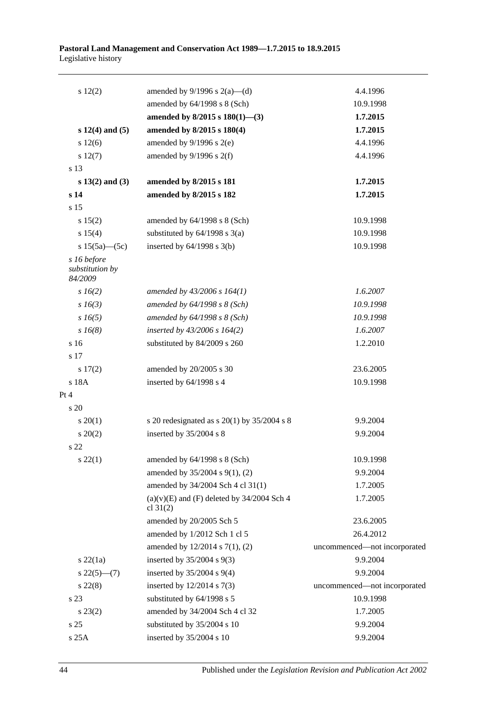#### **Pastoral Land Management and Conservation Act 1989—1.7.2015 to 18.9.2015** Legislative history

| 12(2)                                     | amended by $9/1996$ s $2(a)$ —(d)                            | 4.4.1996                     |
|-------------------------------------------|--------------------------------------------------------------|------------------------------|
|                                           | amended by 64/1998 s 8 (Sch)                                 | 10.9.1998                    |
|                                           | amended by $8/2015$ s $180(1)$ —(3)                          | 1.7.2015                     |
| $s 12(4)$ and $(5)$                       | amended by 8/2015 s 180(4)                                   | 1.7.2015                     |
| s 12(6)                                   | amended by $9/1996$ s $2(e)$                                 | 4.4.1996                     |
| s 12(7)                                   | amended by $9/1996$ s $2(f)$                                 | 4.4.1996                     |
| s 13                                      |                                                              |                              |
| $s 13(2)$ and (3)                         | amended by 8/2015 s 181                                      | 1.7.2015                     |
| s 14                                      | amended by 8/2015 s 182                                      | 1.7.2015                     |
| s 15                                      |                                                              |                              |
| s 15(2)                                   | amended by 64/1998 s 8 (Sch)                                 | 10.9.1998                    |
| s 15(4)                                   | substituted by $64/1998$ s $3(a)$                            | 10.9.1998                    |
| s $15(5a)$ (5c)                           | inserted by $64/1998$ s $3(b)$                               | 10.9.1998                    |
| s 16 before<br>substitution by<br>84/2009 |                                                              |                              |
| $s\,16(2)$                                | amended by 43/2006 s 164(1)                                  | 1.6.2007                     |
| $s\,16(3)$                                | amended by $64/1998 s 8$ (Sch)                               | 10.9.1998                    |
| $s\,16(5)$                                | amended by $64/1998 s 8$ (Sch)                               | 10.9.1998                    |
| $s\,16(8)$                                | inserted by $43/2006$ s $164(2)$                             | 1.6.2007                     |
| s 16                                      | substituted by 84/2009 s 260                                 | 1.2.2010                     |
| s 17                                      |                                                              |                              |
| s 17(2)                                   | amended by 20/2005 s 30                                      | 23.6.2005                    |
| s 18A                                     | inserted by 64/1998 s 4                                      | 10.9.1998                    |
| Pt 4                                      |                                                              |                              |
| $\frac{1}{20}$                            |                                                              |                              |
| $s \ 20(1)$                               | s 20 redesignated as s $20(1)$ by $35/2004$ s 8              | 9.9.2004                     |
| $s \ 20(2)$                               | inserted by 35/2004 s 8                                      | 9.9.2004                     |
| s 22                                      |                                                              |                              |
| $s\,22(1)$                                | amended by 64/1998 s 8 (Sch)                                 | 10.9.1998                    |
|                                           | amended by 35/2004 s 9(1), (2)                               | 9.9.2004                     |
|                                           | amended by 34/2004 Sch 4 cl 31(1)                            | 1.7.2005                     |
|                                           | $(a)(v)(E)$ and $(F)$ deleted by 34/2004 Sch 4<br>cl $31(2)$ | 1.7.2005                     |
|                                           | amended by 20/2005 Sch 5                                     | 23.6.2005                    |
|                                           | amended by 1/2012 Sch 1 cl 5                                 | 26.4.2012                    |
|                                           | amended by $12/2014$ s $7(1)$ , (2)                          | uncommenced-not incorporated |
| $s$ 22 $(1a)$                             | inserted by $35/2004$ s $9(3)$                               | 9.9.2004                     |
| $s\,22(5)$ —(7)                           | inserted by $35/2004$ s $9(4)$                               | 9.9.2004                     |
| $s\,22(8)$                                | inserted by $12/2014$ s $7(3)$                               | uncommenced-not incorporated |
| s 23                                      | substituted by 64/1998 s 5                                   | 10.9.1998                    |
| $s\,23(2)$                                | amended by 34/2004 Sch 4 cl 32                               | 1.7.2005                     |
| s 25                                      | substituted by 35/2004 s 10                                  | 9.9.2004                     |
| s 25A                                     | inserted by 35/2004 s 10                                     | 9.9.2004                     |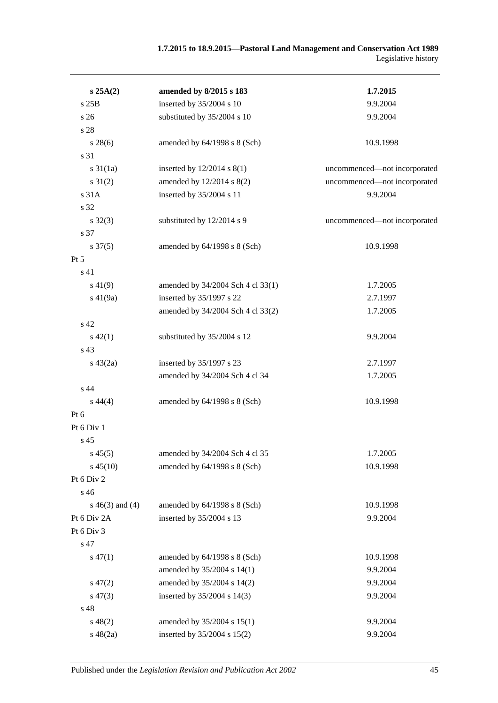#### **1.7.2015 to 18.9.2015—Pastoral Land Management and Conservation Act 1989** Legislative history

| s 25A(2)            | amended by 8/2015 s 183           | 1.7.2015                     |  |
|---------------------|-----------------------------------|------------------------------|--|
| s 25B               | inserted by 35/2004 s 10          | 9.9.2004                     |  |
| s 26                | substituted by 35/2004 s 10       | 9.9.2004                     |  |
| s 28                |                                   |                              |  |
| $s\,28(6)$          | amended by 64/1998 s 8 (Sch)      | 10.9.1998                    |  |
| s 31                |                                   |                              |  |
| $s \, 31(1a)$       | inserted by $12/2014$ s $8(1)$    | uncommenced-not incorporated |  |
| $s \, 31(2)$        | amended by 12/2014 s 8(2)         | uncommenced-not incorporated |  |
| s 31A               | inserted by 35/2004 s 11          | 9.9.2004                     |  |
| s 32                |                                   |                              |  |
| $s \, 32(3)$        | substituted by 12/2014 s 9        | uncommenced-not incorporated |  |
| s 37                |                                   |                              |  |
| $s \frac{37(5)}{2}$ | amended by 64/1998 s 8 (Sch)      | 10.9.1998                    |  |
| $Pt\,5$             |                                   |                              |  |
| s 41                |                                   |                              |  |
| $s\,41(9)$          | amended by 34/2004 Sch 4 cl 33(1) | 1.7.2005                     |  |
| $s\ 41(9a)$         | inserted by 35/1997 s 22          | 2.7.1997                     |  |
|                     | amended by 34/2004 Sch 4 cl 33(2) | 1.7.2005                     |  |
| s <sub>42</sub>     |                                   |                              |  |
| $s\,42(1)$          | substituted by 35/2004 s 12       | 9.9.2004                     |  |
| s 43                |                                   |                              |  |
| $s\ 43(2a)$         | inserted by 35/1997 s 23          | 2.7.1997                     |  |
|                     | amended by 34/2004 Sch 4 cl 34    | 1.7.2005                     |  |
| s 44                |                                   |                              |  |
| $s\,44(4)$          | amended by 64/1998 s 8 (Sch)      | 10.9.1998                    |  |
| Pt 6                |                                   |                              |  |
| Pt 6 Div 1          |                                   |                              |  |
| s <sub>45</sub>     |                                   |                              |  |
| $s\,45(5)$          | amended by 34/2004 Sch 4 cl 35    | 1.7.2005                     |  |
| $s\,45(10)$         | amended by 64/1998 s 8 (Sch)      | 10.9.1998                    |  |
| Pt 6 Div 2          |                                   |                              |  |
| s 46                |                                   |                              |  |
| s $46(3)$ and $(4)$ | amended by 64/1998 s 8 (Sch)      | 10.9.1998                    |  |
| Pt 6 Div 2A         | inserted by 35/2004 s 13          | 9.9.2004                     |  |
| Pt 6 Div 3          |                                   |                              |  |
| s 47                |                                   |                              |  |
| $s\,47(1)$          | amended by 64/1998 s 8 (Sch)      | 10.9.1998                    |  |
|                     | amended by 35/2004 s 14(1)        | 9.9.2004                     |  |
| $s\,47(2)$          | amended by 35/2004 s 14(2)        | 9.9.2004                     |  |
| $s\,47(3)$          | inserted by 35/2004 s 14(3)       | 9.9.2004                     |  |
| s 48                |                                   |                              |  |
| $s\,48(2)$          | amended by 35/2004 s 15(1)        | 9.9.2004                     |  |
| $s\ 48(2a)$         | inserted by 35/2004 s 15(2)       | 9.9.2004                     |  |
|                     |                                   |                              |  |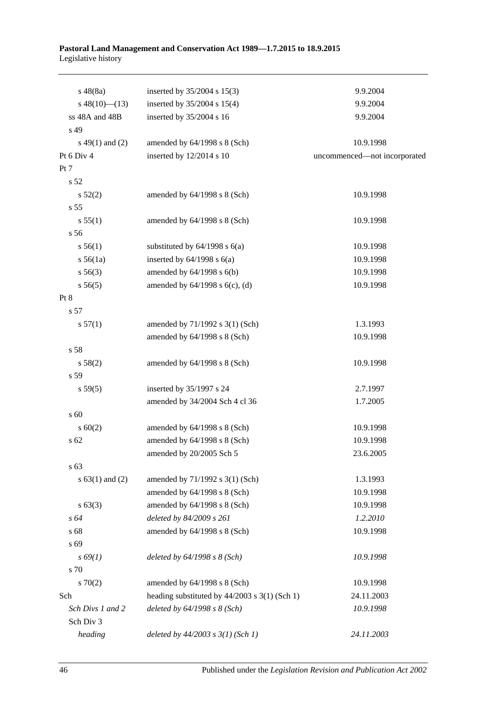#### **Pastoral Land Management and Conservation Act 1989—1.7.2015 to 18.9.2015** Legislative history

| $s\ 48(8a)$         | inserted by $35/2004$ s $15(3)$                   | 9.9.2004                     |
|---------------------|---------------------------------------------------|------------------------------|
| $s\ 48(10)$ (13)    | inserted by 35/2004 s 15(4)                       | 9.9.2004                     |
| ss 48A and 48B      | inserted by 35/2004 s 16                          | 9.9.2004                     |
| s 49                |                                                   |                              |
| $s\ 49(1)$ and (2)  | amended by 64/1998 s 8 (Sch)                      | 10.9.1998                    |
| Pt 6 Div 4          | inserted by 12/2014 s 10                          | uncommenced-not incorporated |
| Pt 7                |                                                   |                              |
| s 52                |                                                   |                              |
| s 52(2)             | amended by 64/1998 s 8 (Sch)                      | 10.9.1998                    |
| s 55                |                                                   |                              |
| s 55(1)             | amended by 64/1998 s 8 (Sch)                      | 10.9.1998                    |
| s 56                |                                                   |                              |
| s 56(1)             | substituted by $64/1998$ s $6(a)$                 | 10.9.1998                    |
| s 56(1a)            | inserted by $64/1998$ s $6(a)$                    | 10.9.1998                    |
| $s\,56(3)$          | amended by $64/1998$ s $6(b)$                     | 10.9.1998                    |
| s 56(5)             | amended by 64/1998 s 6(c), (d)                    | 10.9.1998                    |
| Pt 8                |                                                   |                              |
| s 57                |                                                   |                              |
| s 57(1)             | amended by 71/1992 s 3(1) (Sch)                   | 1.3.1993                     |
|                     | amended by 64/1998 s 8 (Sch)                      | 10.9.1998                    |
| s 58                |                                                   |                              |
| s 58(2)             | amended by 64/1998 s 8 (Sch)                      | 10.9.1998                    |
| s 59                |                                                   |                              |
| s 59(5)             | inserted by 35/1997 s 24                          | 2.7.1997                     |
|                     | amended by 34/2004 Sch 4 cl 36                    | 1.7.2005                     |
| s 60                |                                                   |                              |
| $s \ 60(2)$         | amended by $64/1998$ s $8$ (Sch)                  | 10.9.1998                    |
| s 62                | amended by 64/1998 s 8 (Sch)                      | 10.9.1998                    |
|                     | amended by 20/2005 Sch 5                          | 23.6.2005                    |
| s 63                |                                                   |                              |
| s $63(1)$ and $(2)$ | amended by 71/1992 s 3(1) (Sch)                   | 1.3.1993                     |
|                     | amended by 64/1998 s 8 (Sch)                      | 10.9.1998                    |
| $s \, 63(3)$        | amended by 64/1998 s 8 (Sch)                      | 10.9.1998                    |
| $s\,64$             | deleted by 84/2009 s 261                          | 1.2.2010                     |
| s 68                | amended by 64/1998 s 8 (Sch)                      | 10.9.1998                    |
| s 69                |                                                   |                              |
| $s\,69(1)$          | deleted by $64/1998 s 8 (Sch)$                    | 10.9.1998                    |
| s 70                |                                                   |                              |
| 570(2)              | amended by 64/1998 s 8 (Sch)                      | 10.9.1998                    |
| Sch                 | heading substituted by $44/2003$ s $3(1)$ (Sch 1) | 24.11.2003                   |
| Sch Divs 1 and 2    | deleted by $64/1998 s 8 (Sch)$                    | 10.9.1998                    |
| Sch Div 3           |                                                   |                              |
| heading             | deleted by $44/2003$ s $3(1)$ (Sch 1)             | 24.11.2003                   |